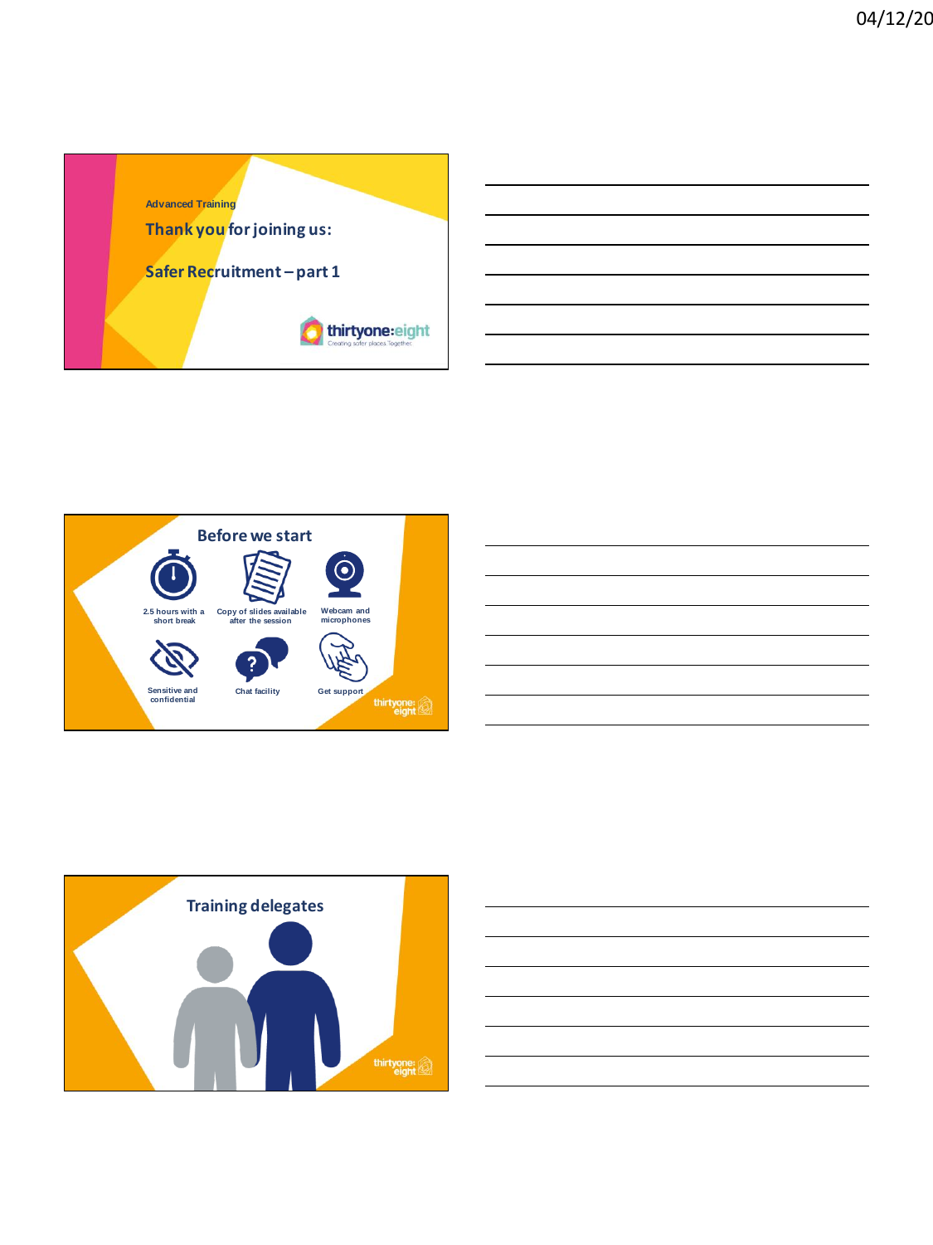









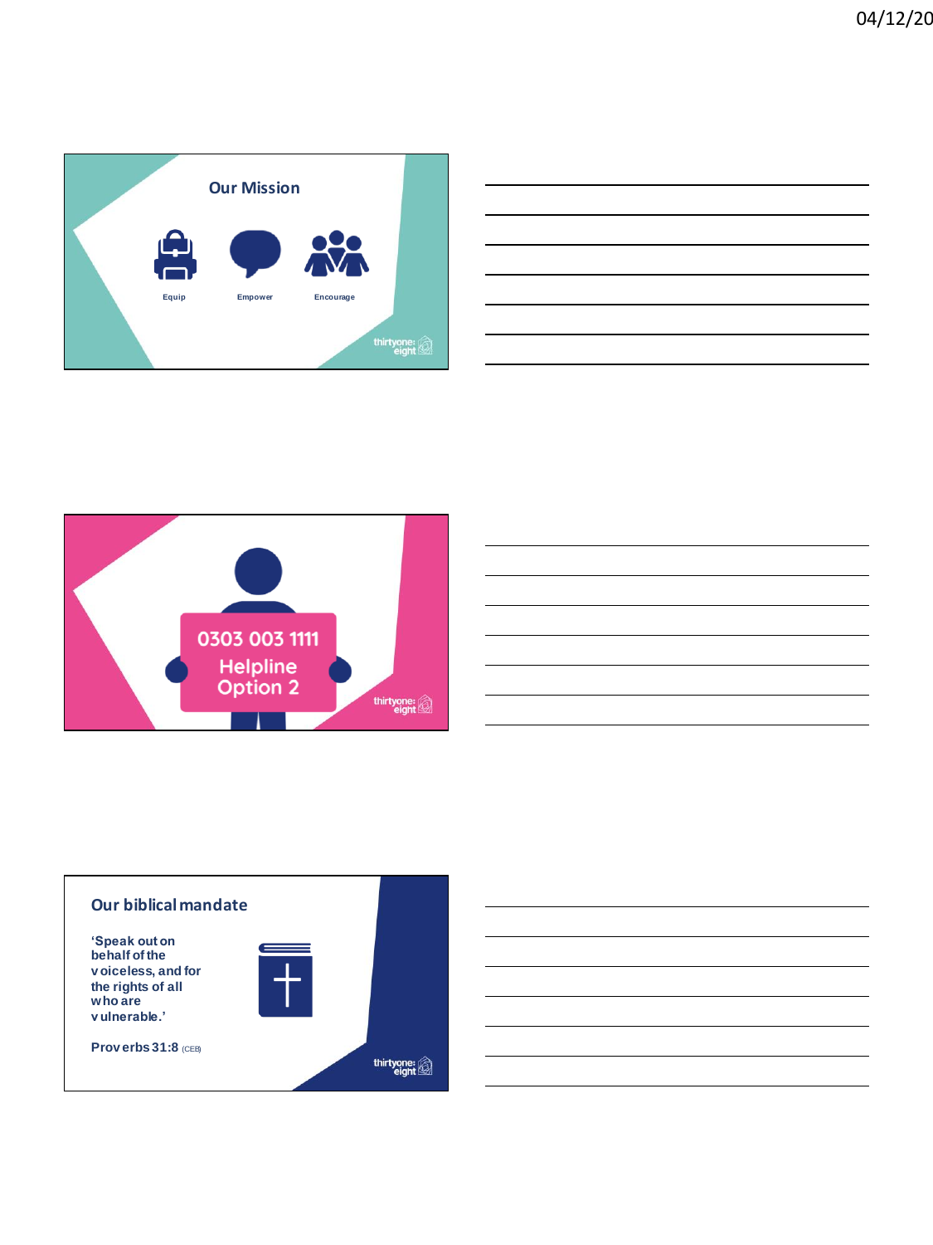

| the contract of the contract of the contract of the contract of the contract of |  |  |
|---------------------------------------------------------------------------------|--|--|
|                                                                                 |  |  |
|                                                                                 |  |  |
|                                                                                 |  |  |
|                                                                                 |  |  |
|                                                                                 |  |  |
|                                                                                 |  |  |
|                                                                                 |  |  |



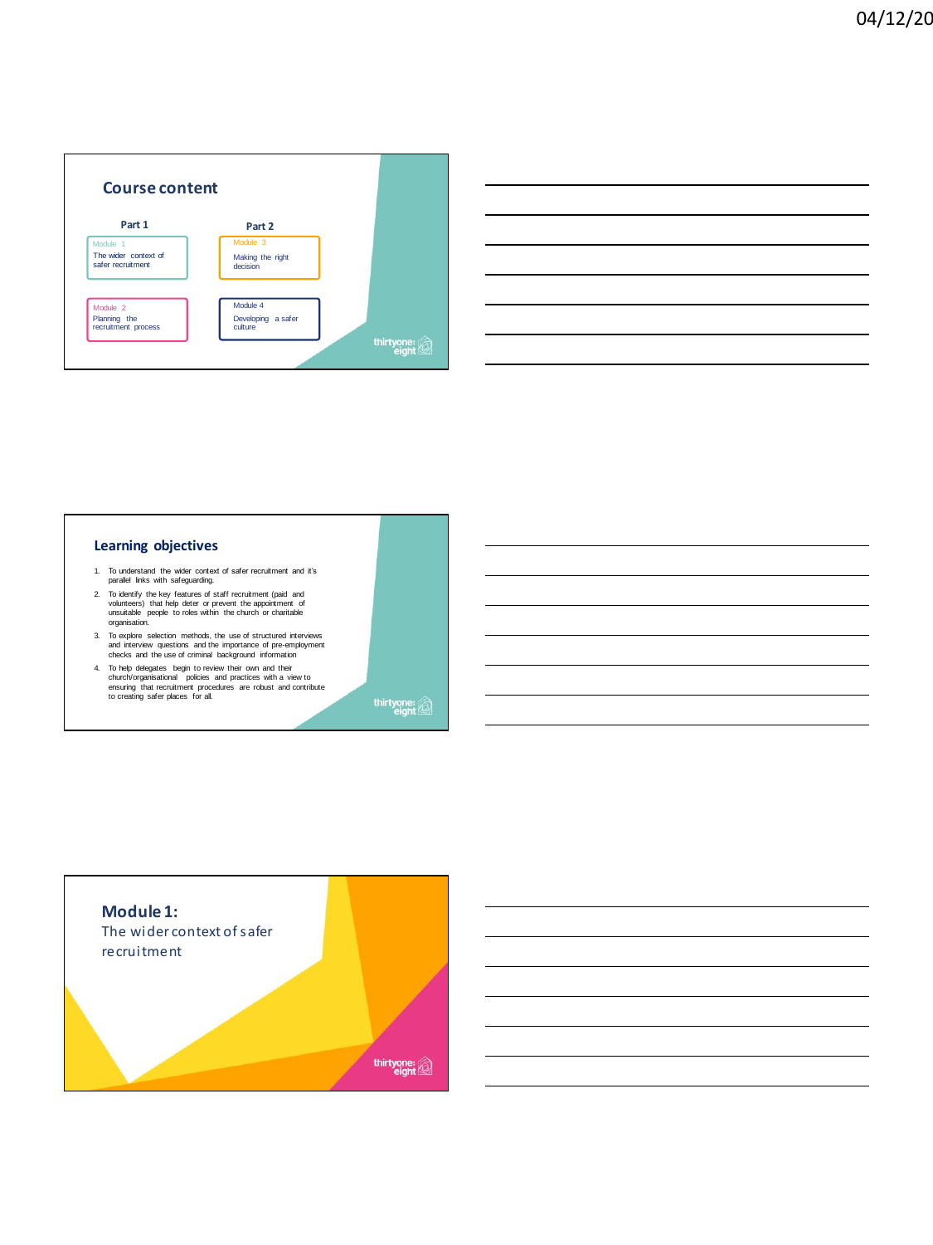

# **Learning objectives**

- 1. To understand the wider context of safer recruitment and it's parallel links with safeguarding.
- 2. To identify the key features of staff recruitment (paid and volunteers) that help deter or prevent the appointment of unsuitable people to roles within the church or charitable organisation.
- 3. To explore selection methods, the use of structured interviews and interview questions and the importance of pre-employment checks and the use of criminal background information
- 4. To help delegates begin to review their own and their church/organisational policies and practices with a view to ensuring that recruitment procedures are robust and contribute to creating safer places for all.

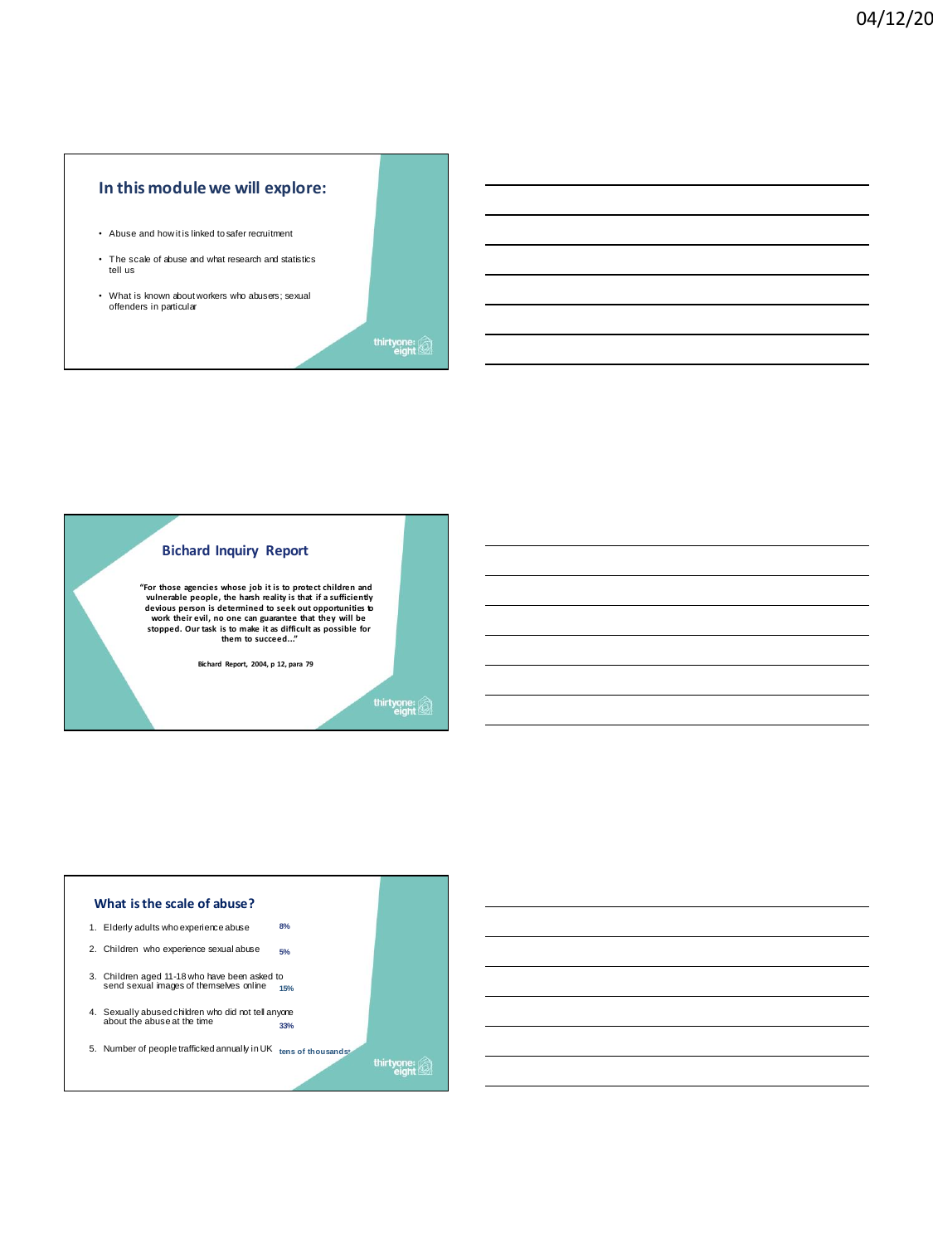# **In this module we will explore:**

- Abuse and how it is linked to safer recruitment
- The scale of abuse and what research and statistics tell us
- What is known about workers who abusers; sexual offenders in particular

thirtyone:



**"For those agencies whose job it is to protect children and vulnerable people, the harsh reality is that if a sufficiently devious person is determined to seek out opportunities to work their evil, no one can guarantee that they will be stopped. Our task is to make it as difficult as possible for them to succeed..."**

**Bichard Report, 2004, p 12, para 79**

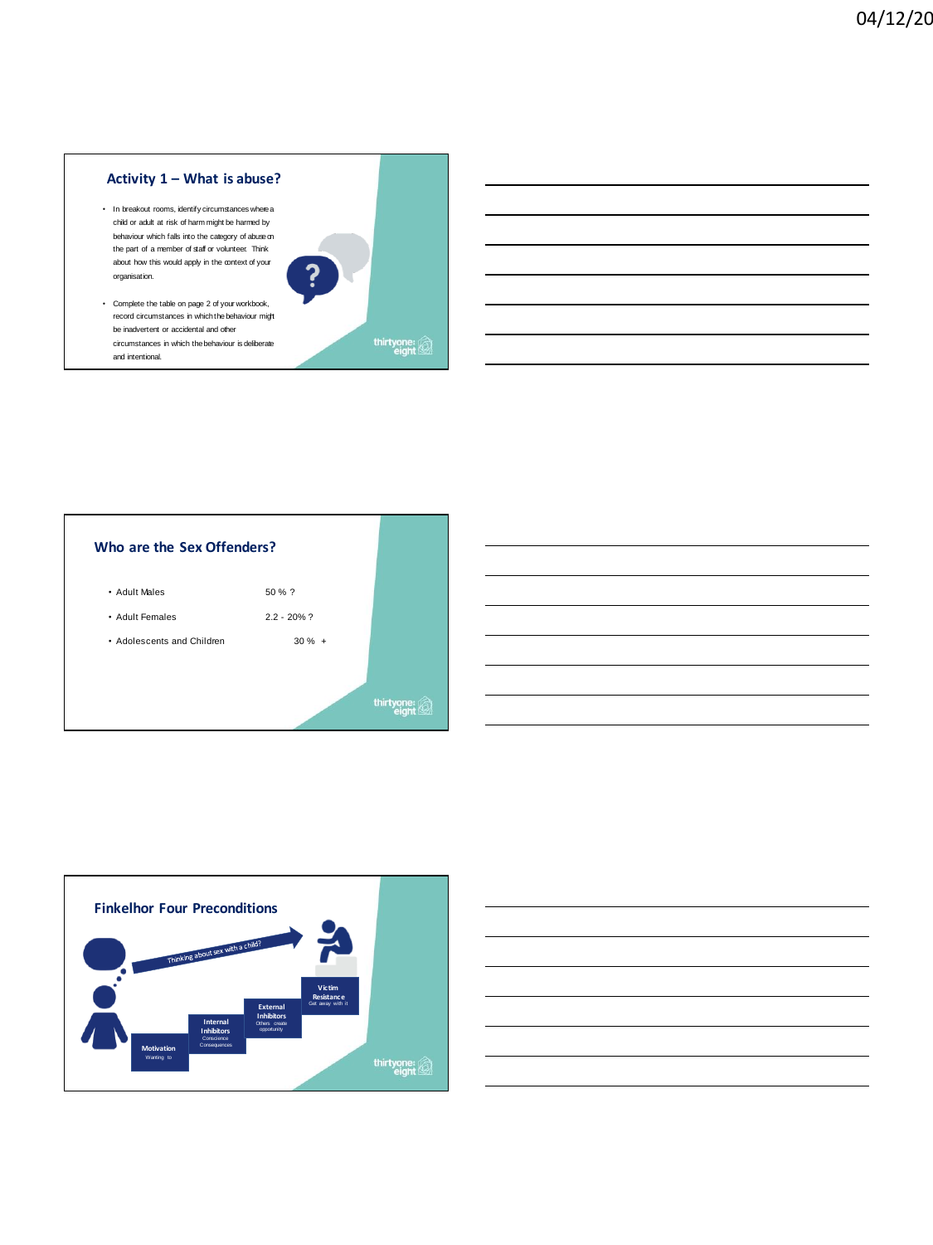# **Activity 1 – What is abuse?**

- In breakout rooms, identify circumstances where a child or adult at risk of harm might be harmed by behaviour which falls into the category of abuse on the part of a member of staff or volunteer. Think about how this would apply in the context of your organisation.
- Complete the table on page 2 of your workbook, record circumstances in which the behaviour might be inadvertent or accidental and other circumstances in which the behaviour is deliberate and intentional.







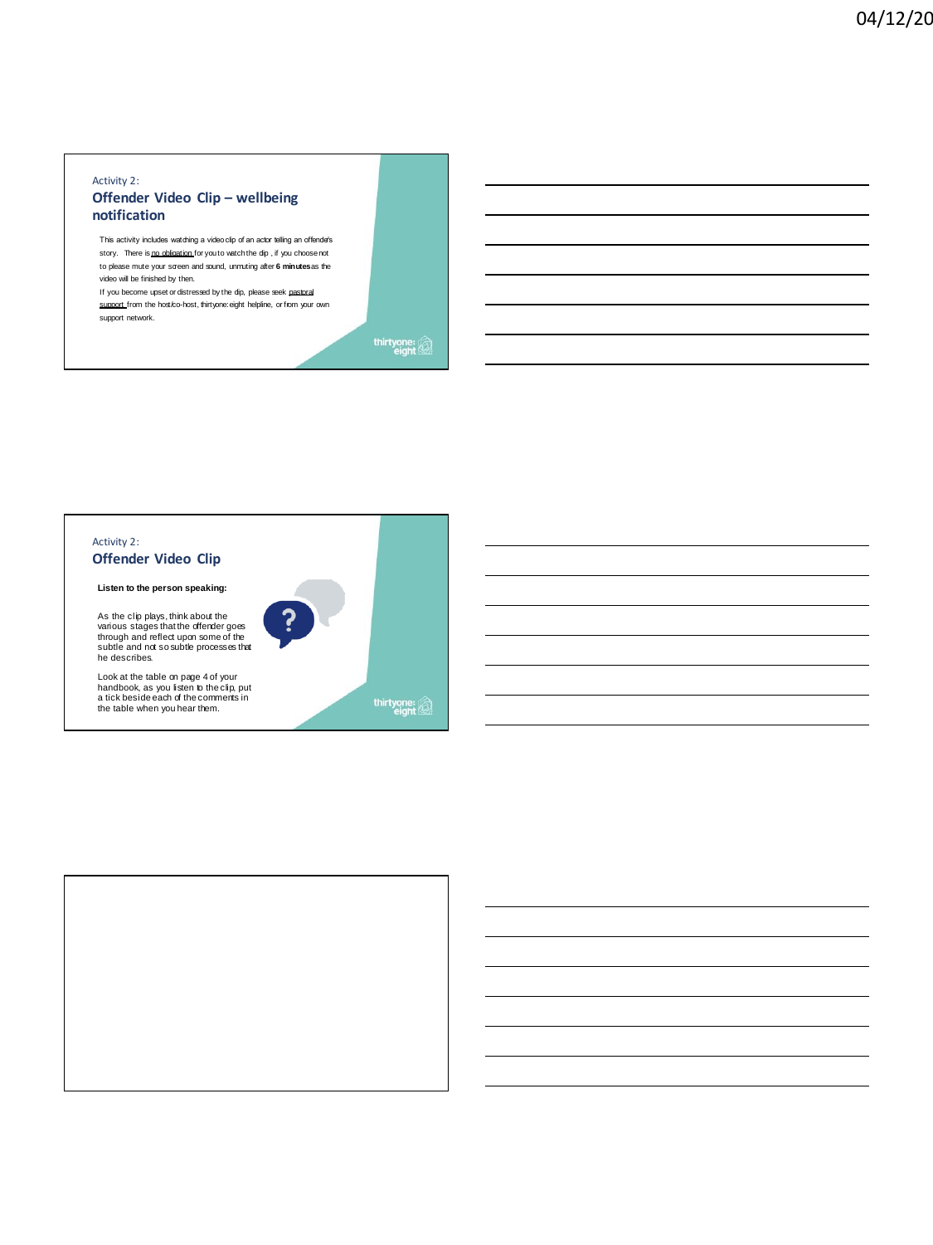#### Activity 2: **Offender Video Clip – wellbeing notification**

This activity includes watching a video clip of an actor telling an offenders story. There is no obligation for you to watch the dip , if you choose not to please mute your screen and sound, unmuting after **6 minutes**as the video will be finished by then.

If you become upset or distressed by the clip, please seek pastoral support from the host/co-host, thirtyone: eight helpline, or from your own support network.

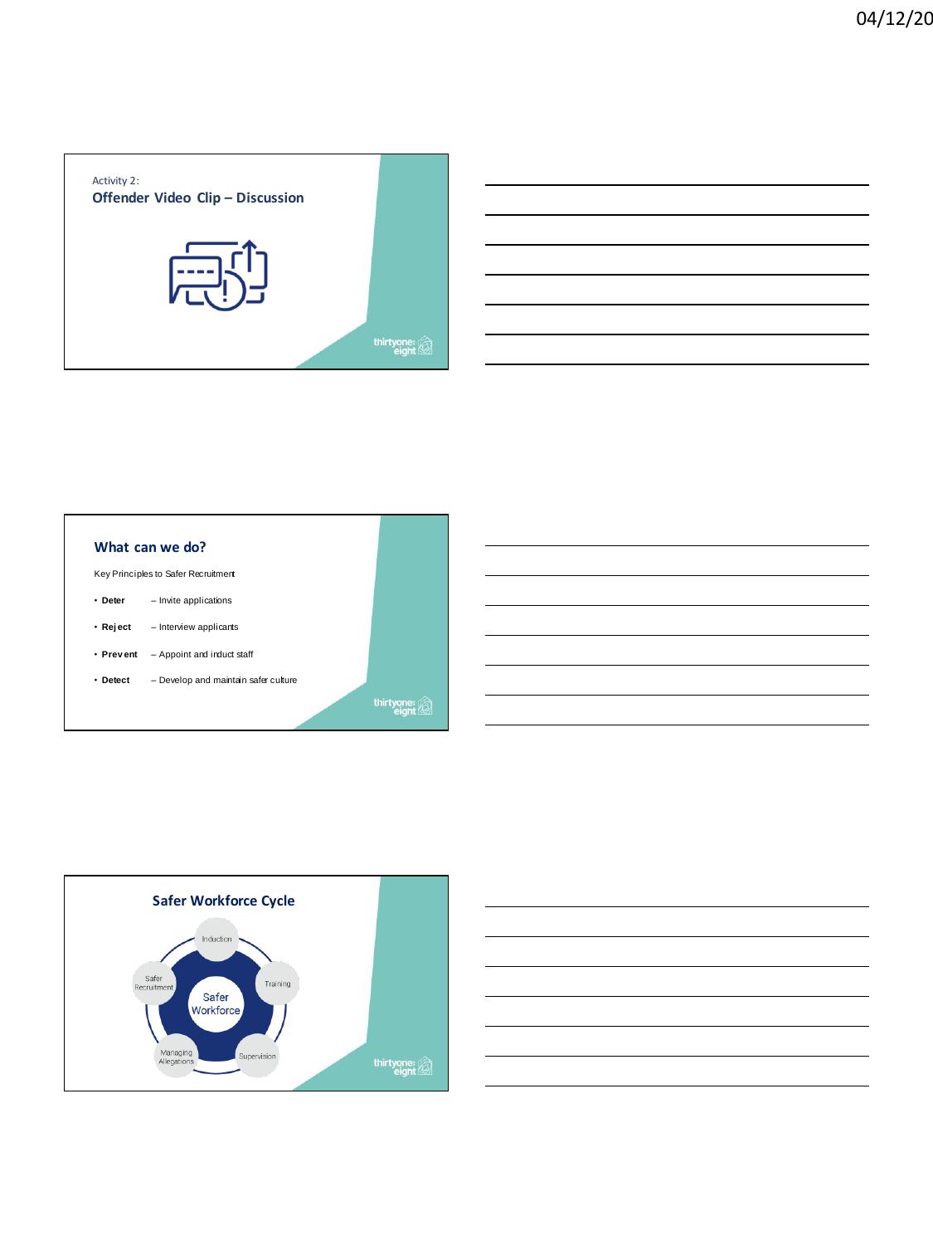





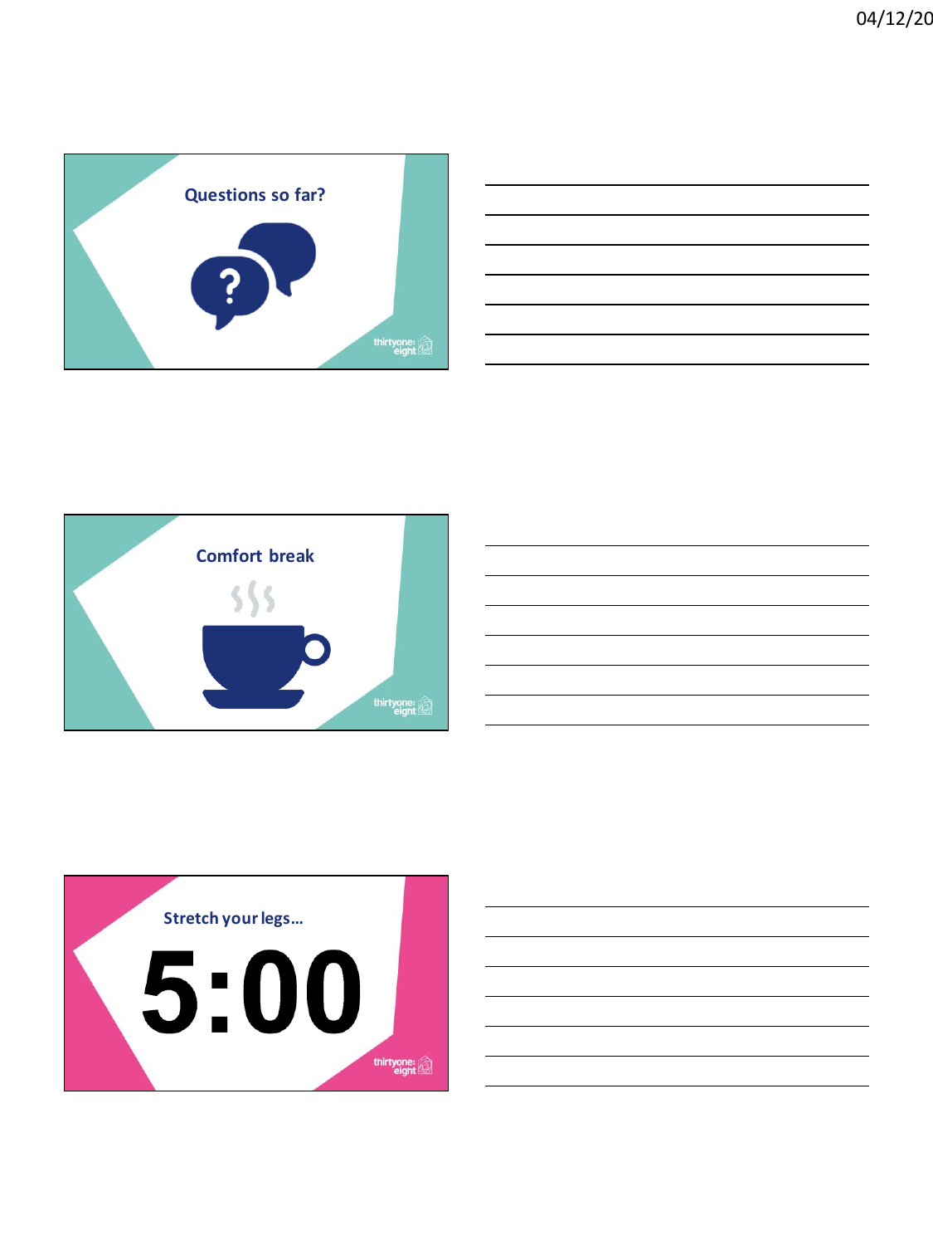





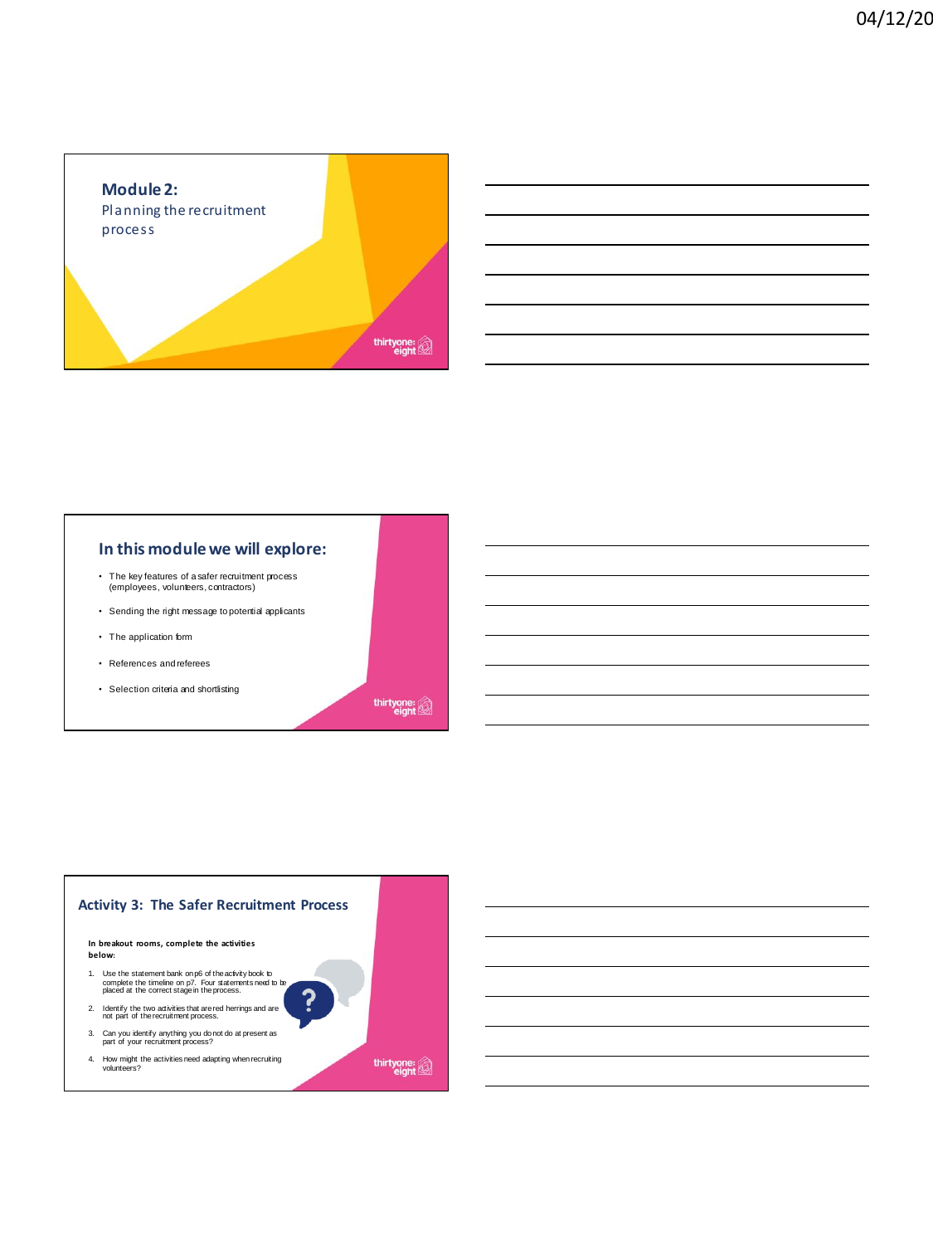

# **In this module we will explore:**

- The key features of a safer recruitment process (employees, volunteers, contractors)
- Sending the right message to potential applicants
- The application form
- References and referees
- Selection criteria and shortlisting

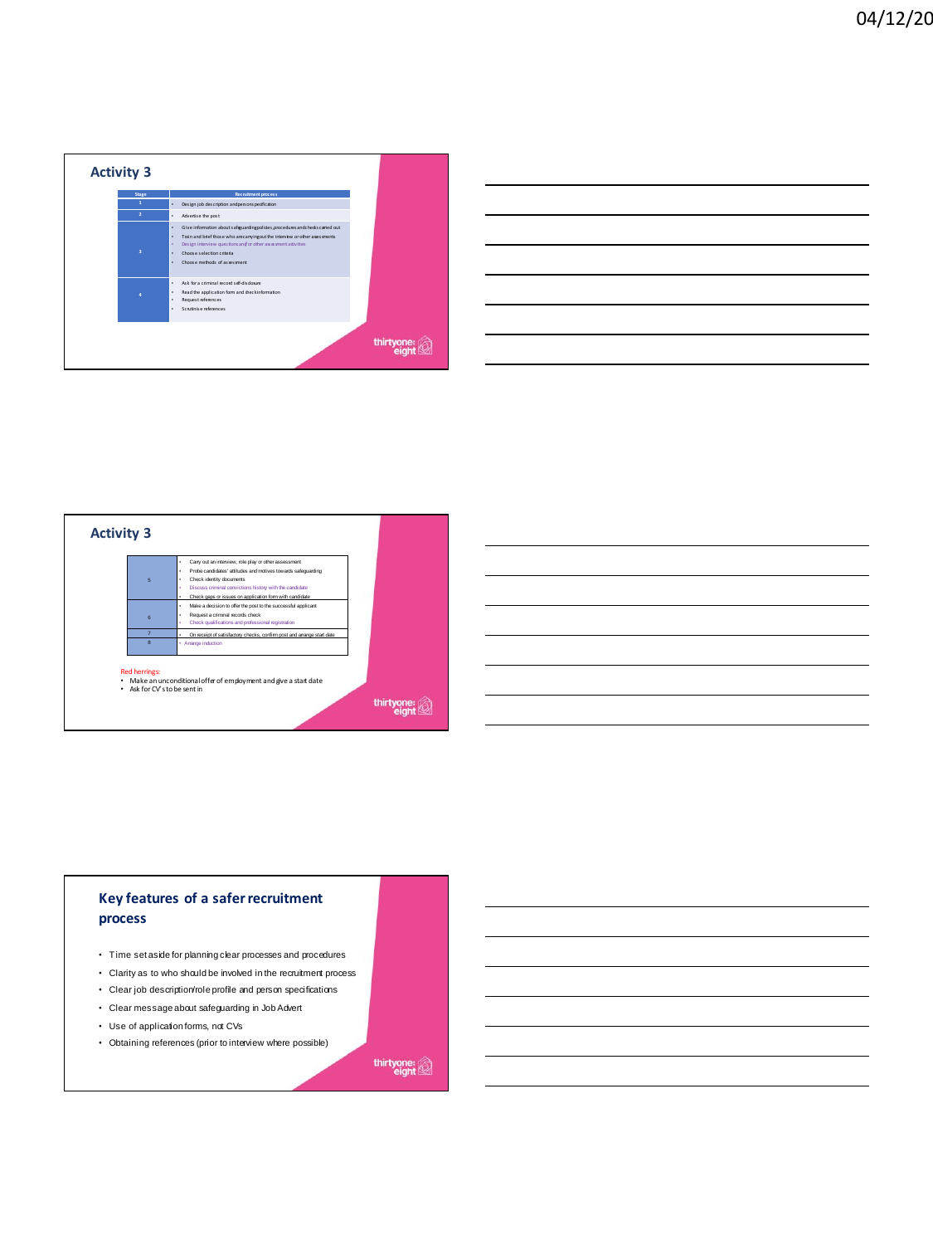

| $\overline{6}$    | Carry out an interview, role play or other assessment<br>Probe candidates' attitudes and motives towards safequarding<br>Check identity documents<br>Discuss criminal convictions history with the candidate            |  |
|-------------------|-------------------------------------------------------------------------------------------------------------------------------------------------------------------------------------------------------------------------|--|
| $\kappa$          | Check gaps or issues on application form with candidate<br>Make a decision to offer the post to the successful applicant<br>٠<br>Request a criminal records check<br>Check qualifications and professional registration |  |
| п<br>$\mathbf{R}$ | On receipt of satisfactory checks, confirm post and arrange start date<br>· Amange induction                                                                                                                            |  |

# **Key features of a safer recruitment process**

- Time set aside for planning clear processes and procedures
- Clarity as to who should be involved in the recruitment process
- Clear job description/role profile and person specifications
- Clear message about safeguarding in Job Advert • Use of application forms, not CVs
- Obtaining references (prior to interview where possible)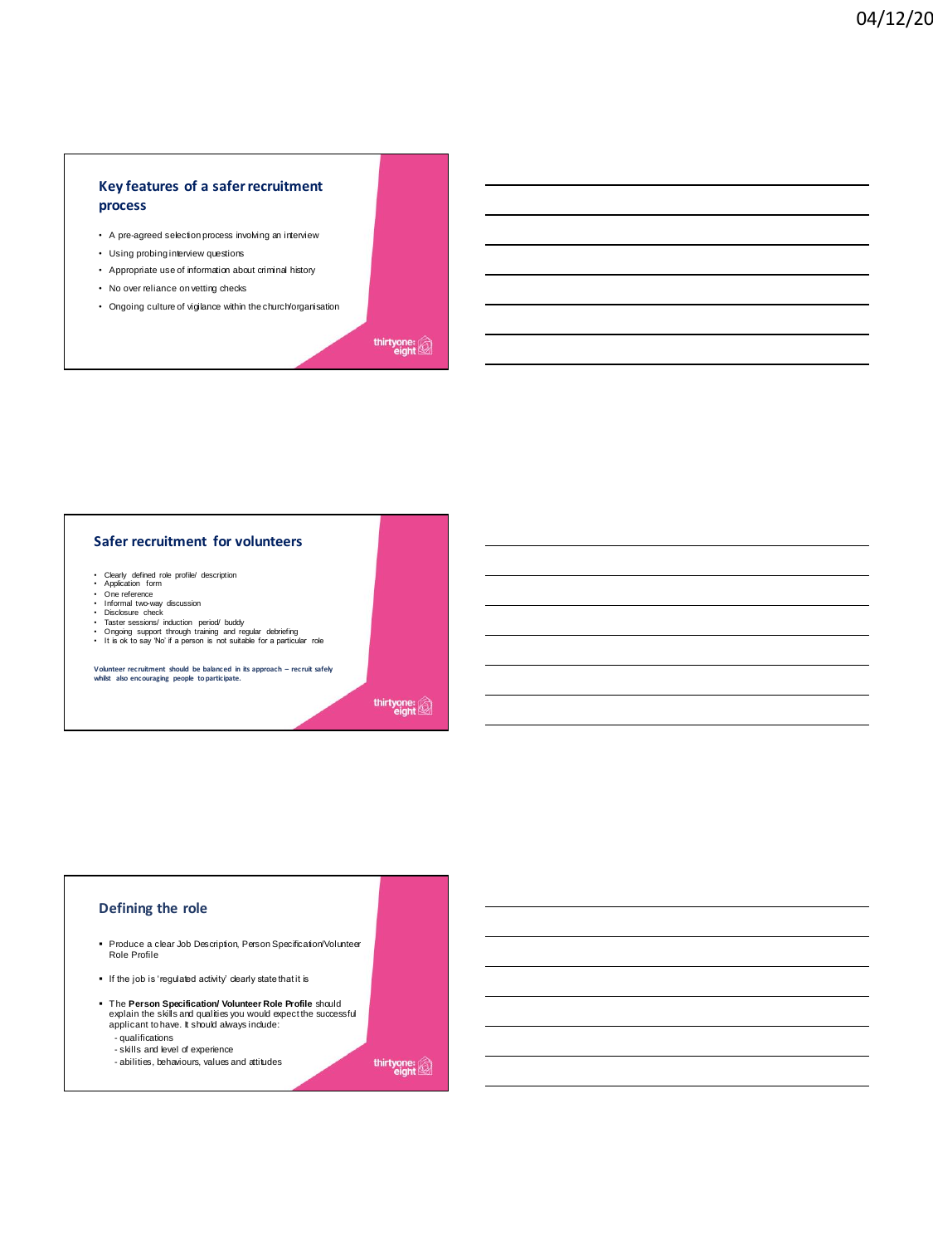# **Key features of a safer recruitment process**

- A pre-agreed selection process involving an interview
- Using probing interview questions
- Appropriate use of information about criminal history
- No over reliance on vetting checks
- Ongoing culture of vigilance within the church/organisation

thirtyone:

### **Safer recruitment for volunteers**

- Clearly defined role profile/ description Application form One reference Informal two-way discussion Disclosure check
- 
- 
- 
- 
- Taster sessions/ induction period/ buddy<br>• Ongoing support through training and regular debriefing<br>• It is ok to say 'No' if a person is not suitable for a particular role

**Volunteer recruitment should be balanced in its approach – recruit safely whilst also encouraging people to participate.**

thirtyone:

#### **Defining the role**

- Produce a clear Job Description, Person Specification/Volunteer<br>Role Profile
- If the job is 'regulated activity' clearly state that it is
- The **Person Specification/ Volunteer Role Profile** should explain the skills and qualities you would expect the successful applicant to have. It should always include:
	- qualifications
	- skills and level of experience - abilities, behaviours, values and attitudes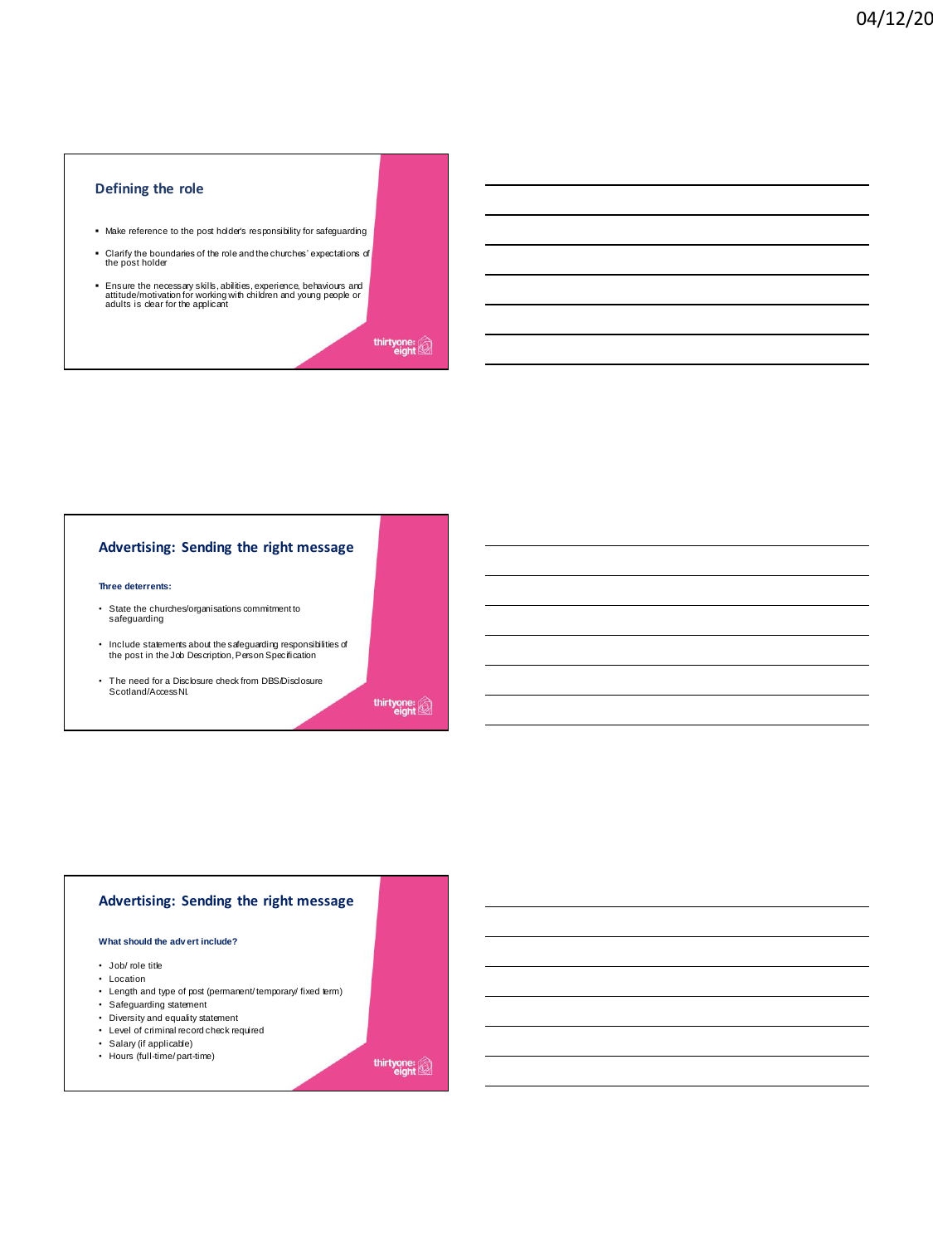# **Defining the role**

- Make reference to the post holder's responsibility for safeguarding
- Clarify the boundaries of the role and the churches' expectations of the post holder
- Ensure the necessary skills, abilities, experience, behaviours and attitude/motivation for working with children and young people or adults is clear for the applicant

thirtyone:

# **Advertising: Sending the right message**

#### **Three deterrents:**

- State the churches/organisations commitment to safeguarding
- Include statements about the safeguarding responsibilities of the post in the Job Description, Person Specification
- The need for a Disclosure check from DBS/Disclosure Scotland/AccessNI.

thirtyone:

# **Advertising: Sending the right message**

#### **What should the adv ert include?**

- Job/ role title
- Location
- Length and type of post (permanent/ temporary/ fixed term)
- Safeguarding statement
- Diversity and equality statement
- Level of criminal record check required
- Salary (if applicable)
- Hours (full-time/part-time)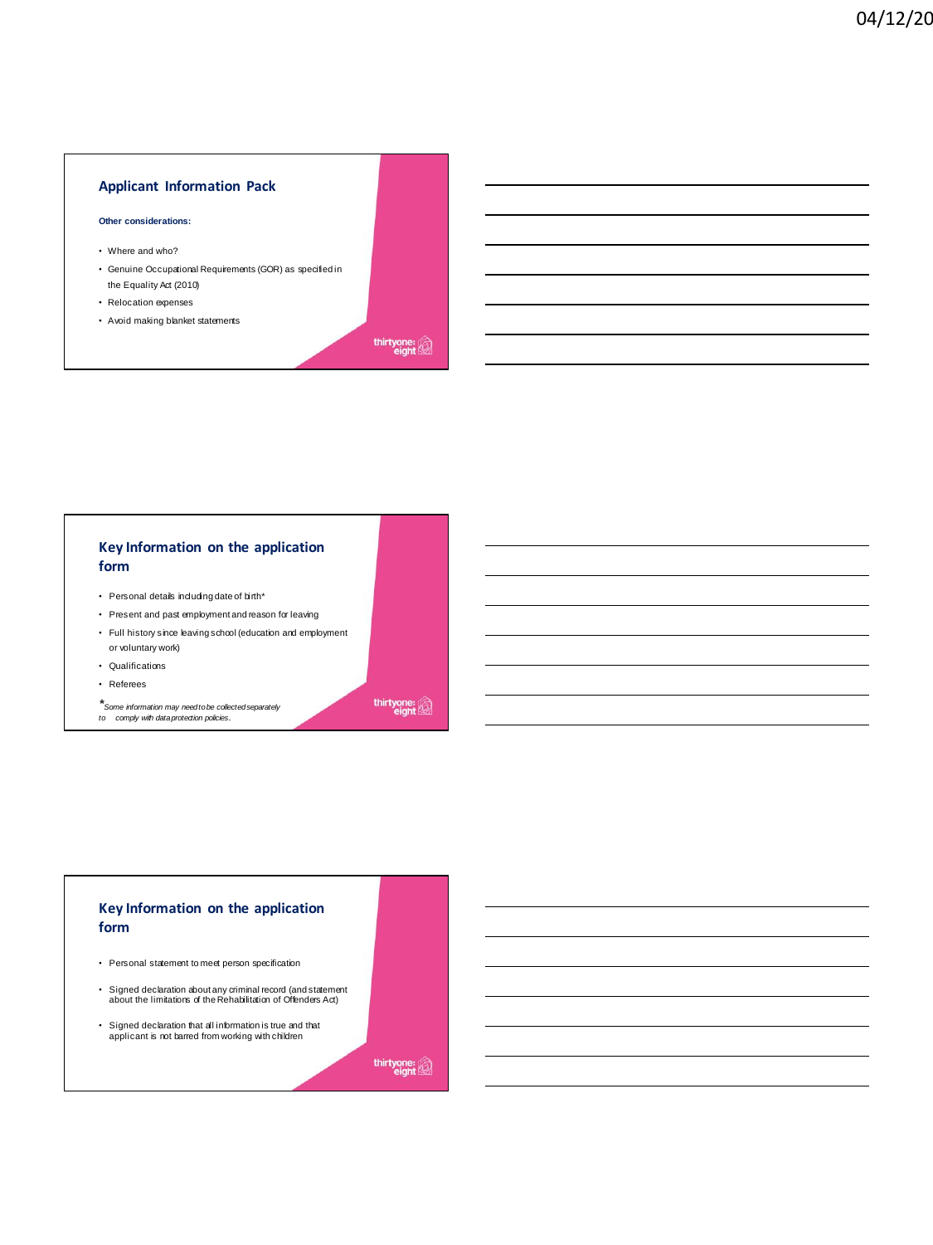# **Applicant Information Pack**

#### **Other considerations:**

- Where and who?
- Genuine Occupational Requirements (GOR) as specified in the Equality Act (2010)
- Relocation expenses
- Avoid making blanket statements

thirtyone:

# **Key Information on the application form**

- Personal details including date of birth\*
- Present and past employment and reason for leaving
- Full history since leaving school (education and employment or voluntary work)
- Qualifications
- Referees
- 

*\*Some information may need to be collected separately to comply with data protection policies.*

thirtyone:

# **Key Information on the application form**

- Personal statement to meet person specification
- Signed declaration about any criminal record (and statement about the limitations of the Rehabilitation of Offenders Act)
- Signed declaration that all information is true and that applicant is not barred from working with children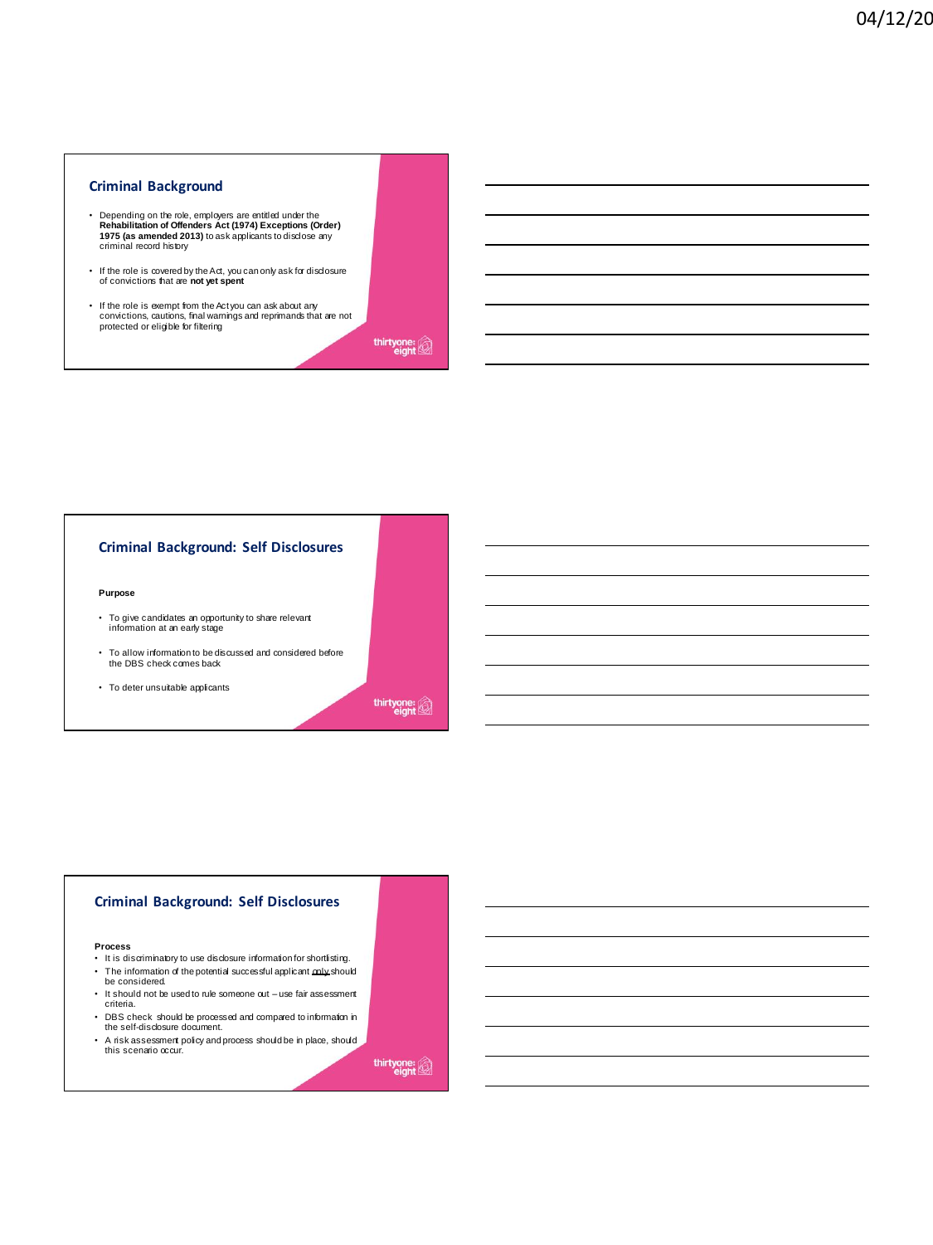#### **Criminal Background**

- Depending on the role, employers are entitled under the<br>**Rehabilitation of Offenders Act (1974) Exceptions (Order)**<br>**1975 (as amended 2013)** to ask applicants to disclose any<br>criminal record history
- If the role is covered by the Act, you can only ask for disclosure of convictions that are **not yet spent**
- If the role is exempt from the Act you can ask about any convictions, cautions, final warnings and reprimands that are not protected or eligible for filtering

thirtyone:

#### **Criminal Background: Self Disclosures**

#### **Purpose**

- To give candidates an opportunity to share relevant information at an early stage
- To allow information to be discussed and considered before the DBS check comes back
- To deter unsuitable applicants

thirtyone:

#### **Criminal Background: Self Disclosures**

#### **Process**

- It is discriminatory to use disclosure information for shortlisting. • The information of the potential successful applicant only should
- be considered.
- It should not be used to rule someone out use fair assessment criteria.
- DBS check should be processed and compared to information in the self-disclosure document.
- A risk assessment policy and process should be in place, should this scenario occur.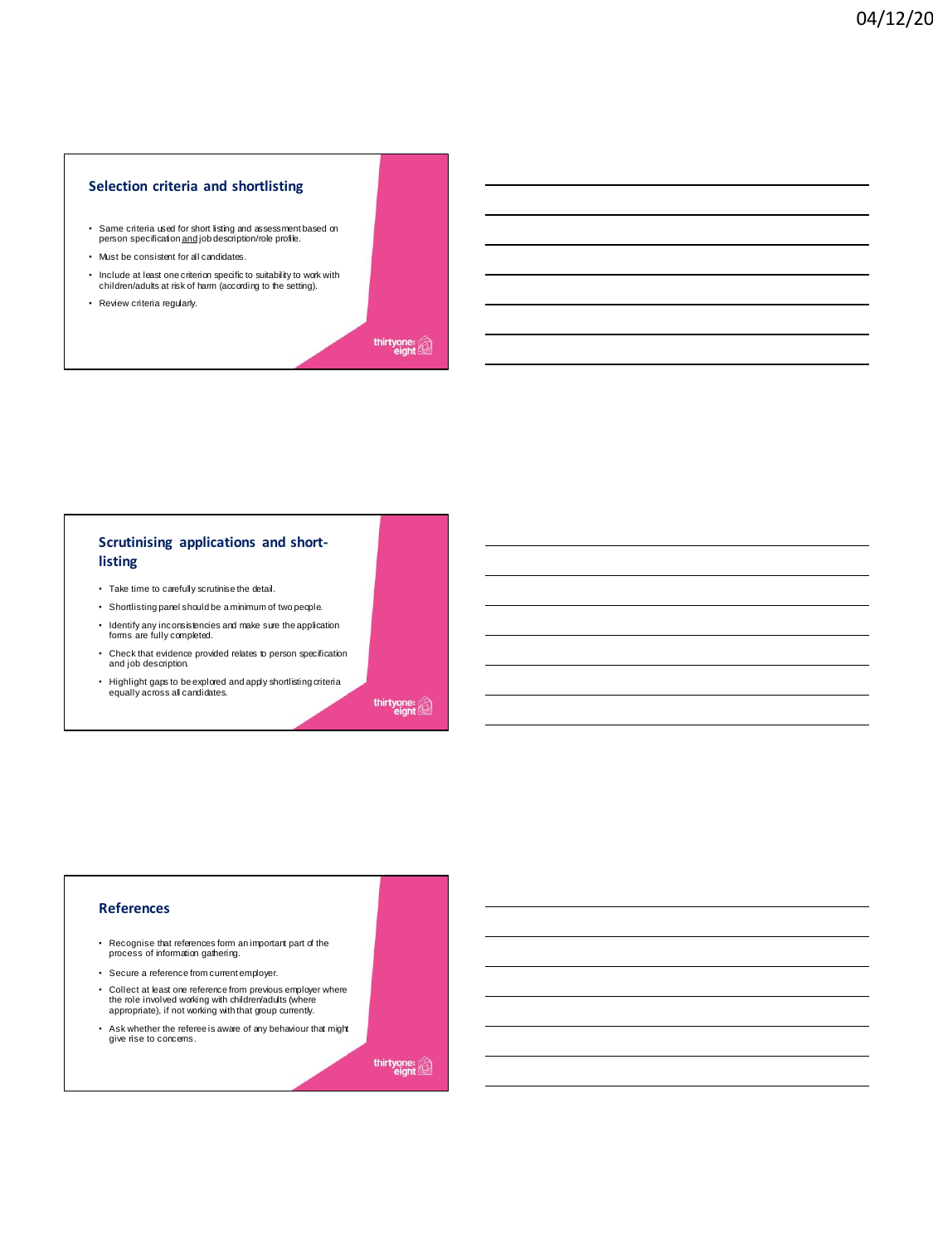#### **Selection criteria and shortlisting**

- Same criteria used for short listing and assessment based on person specification and job description/role profile.
- Must be consistent for all candidates.
- Include at least one criterion specific to suitability to work with children/adults at risk of harm (according to the setting).
- Review criteria regularly.

thirtyone:

# **Scrutinising applications and shortlisting**

- Take time to carefully scrutinise the detail.
- Shortlisting panel should be a minimum of two people.
- Identify any inconsistencies and make sure the application forms are fully completed.
- Check that evidence provided relates to person specification and job description.
- Highlight gaps to be explored and apply shortlisting criteria equally across all candidates.

thirtyone:

#### **References**

- Recognise that references form an important part of the process of information gathering.
- Secure a reference from current employer.
- Collect at least one reference from previous employer where the role involved working with children/adults (where appropriate), if not working with that group currently.
- Ask whether the referee is aware of any behaviour that might give rise to concerns.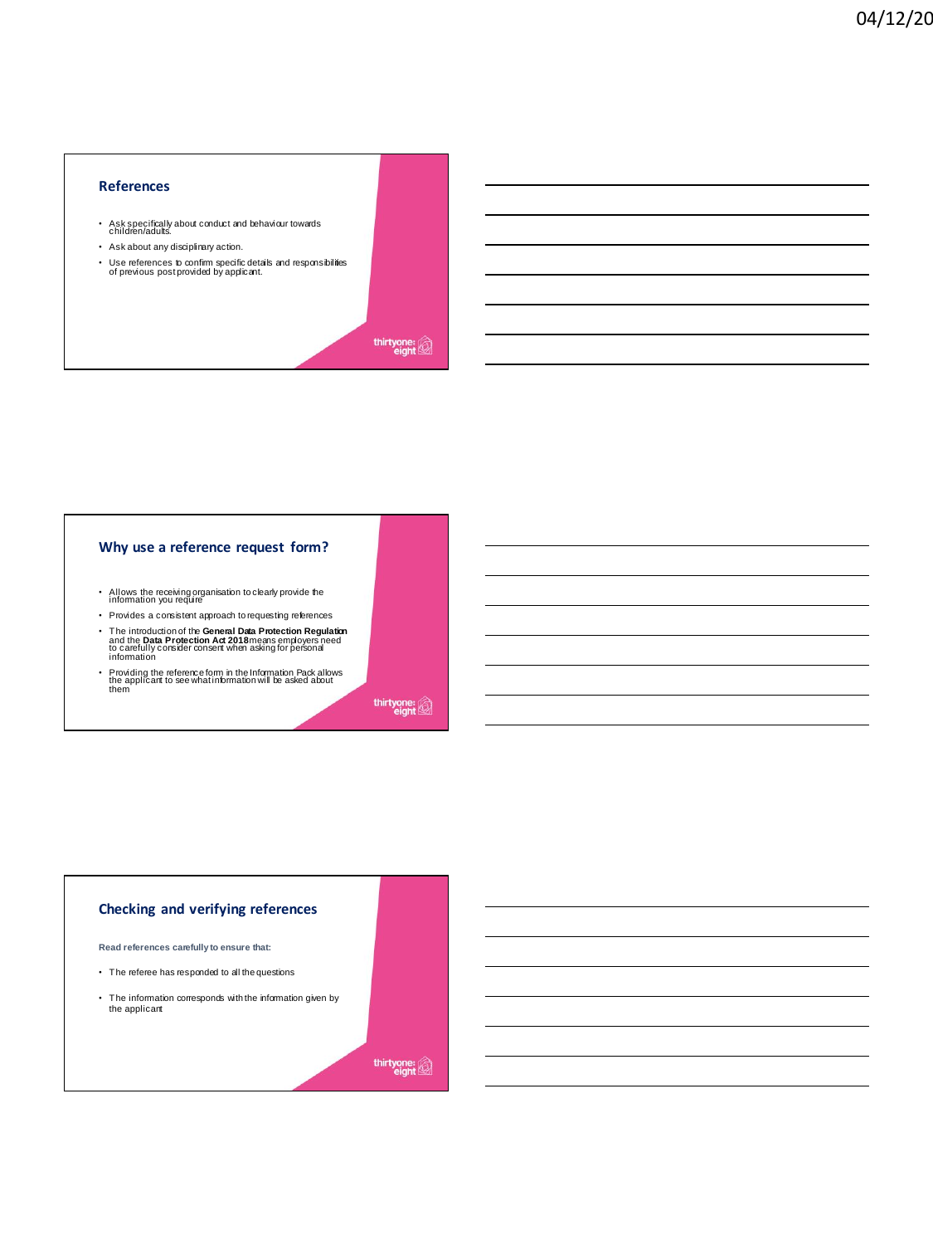### **References**

- Ask specifically about conduct and behaviour towards children/adults.
- Ask about any disciplinary action.
- Use references to confirm specific details and responsibilities of previous post provided by applicant.

thirtyone:

#### **Why use a reference request form?**

- Allows the receiving organisation to clearly provide the information you require
- Provides a consistent approach to requesting references • The introduction of the **General Data Protection Regulation**<br>and the **Data Protection Act 2018** means employers need<br>to carefully consider consent when asking for personal<br>information
- Providing the reference form in the Information Pack allows the applicant to see what information will be asked about them

thirtyone:

# **Checking and verifying references**

**Read references carefully to ensure that:**

- The referee has responded to all the questions
- The information corresponds with the information given by the applicant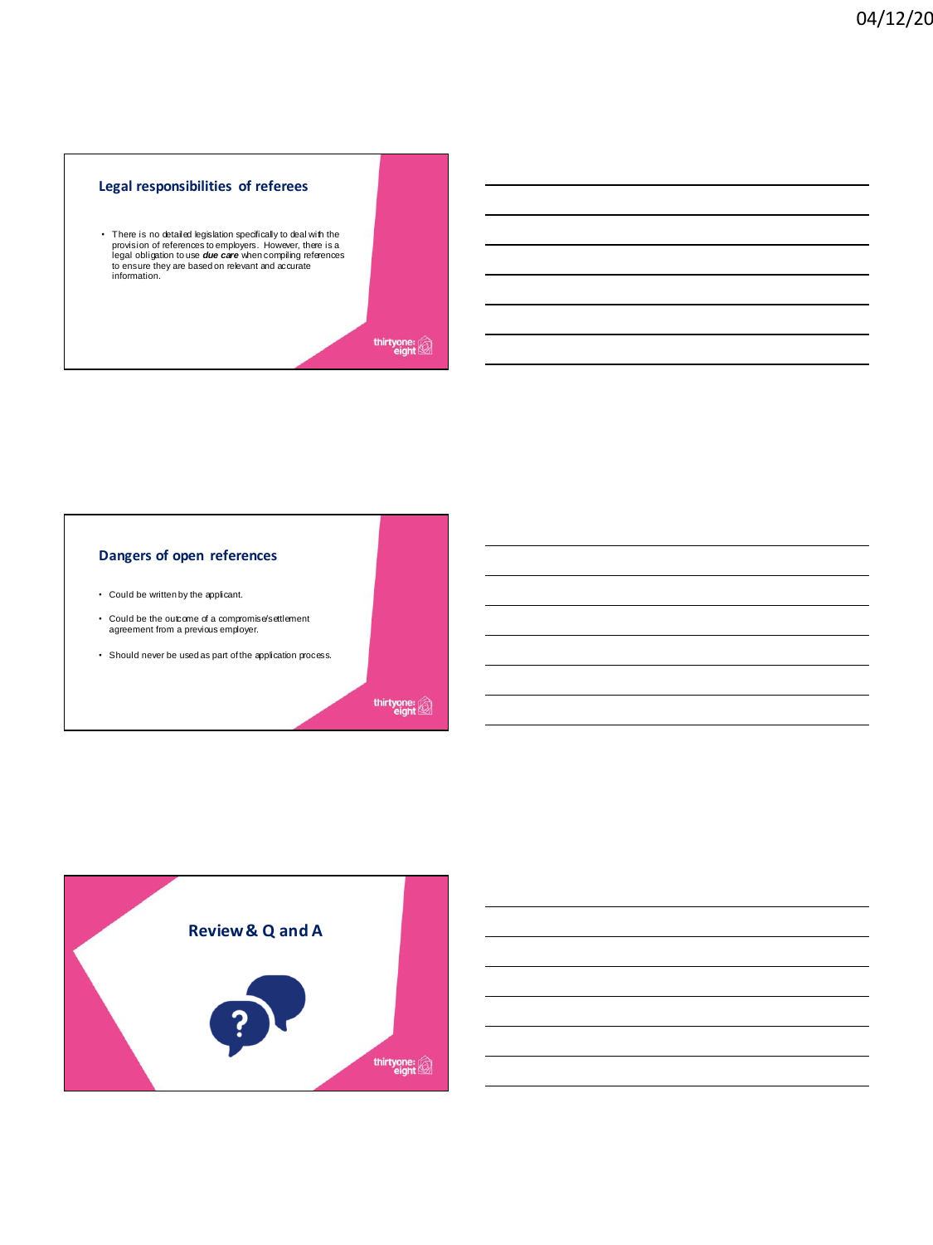# **Legal responsibilities of referees**

• There is no detailed legislation specifically to deal with the provision of references to employers. However, there is a legal obligation to use **due care w**hen compiling references to ensure they are based on relevant a

thirtyone:<br>eight

#### **Dangers of open references**

- Could be written by the applicant.
- Could be the outcome of a compromise/settlement agreement from a previous employer.
- Should never be used as part of the application process.

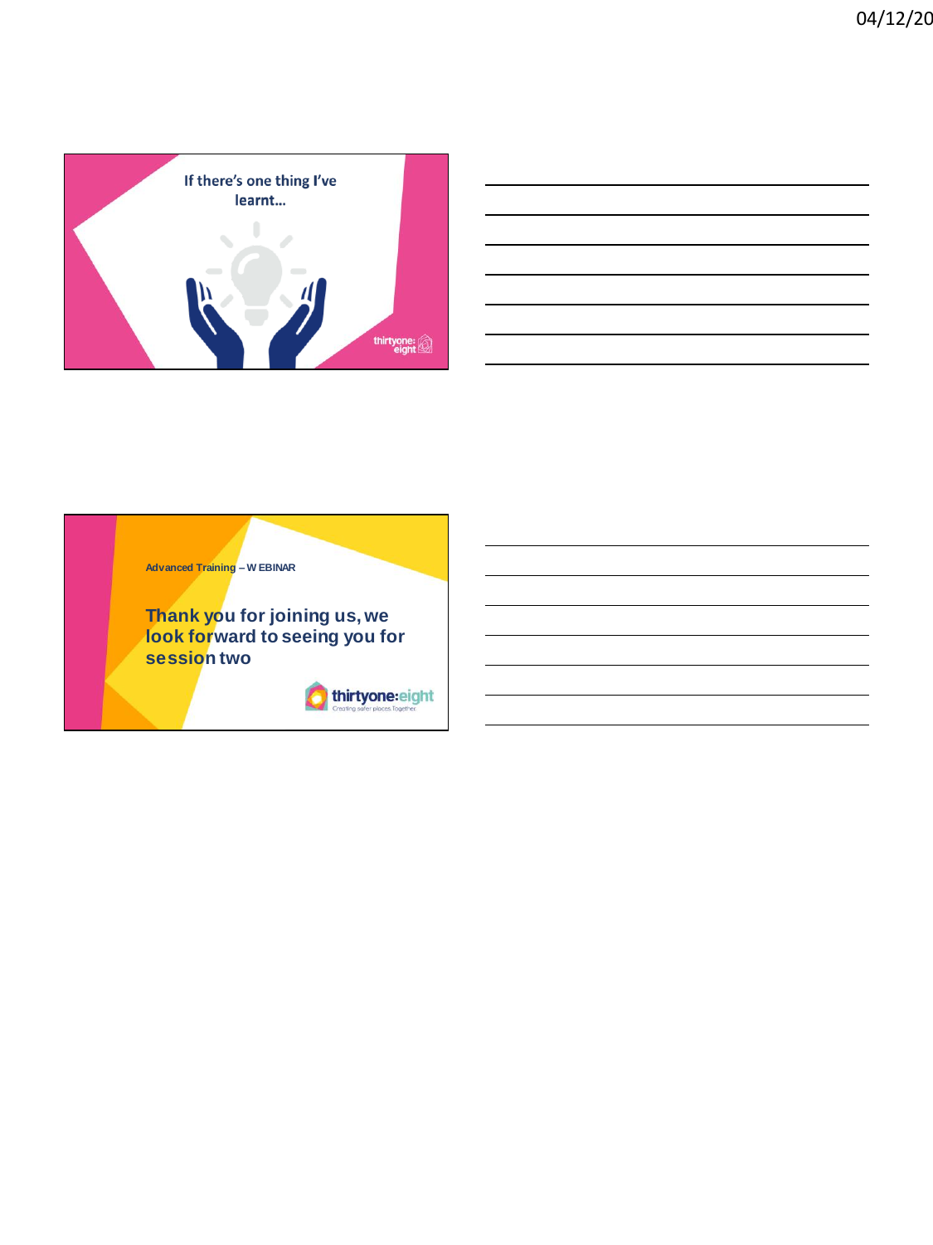

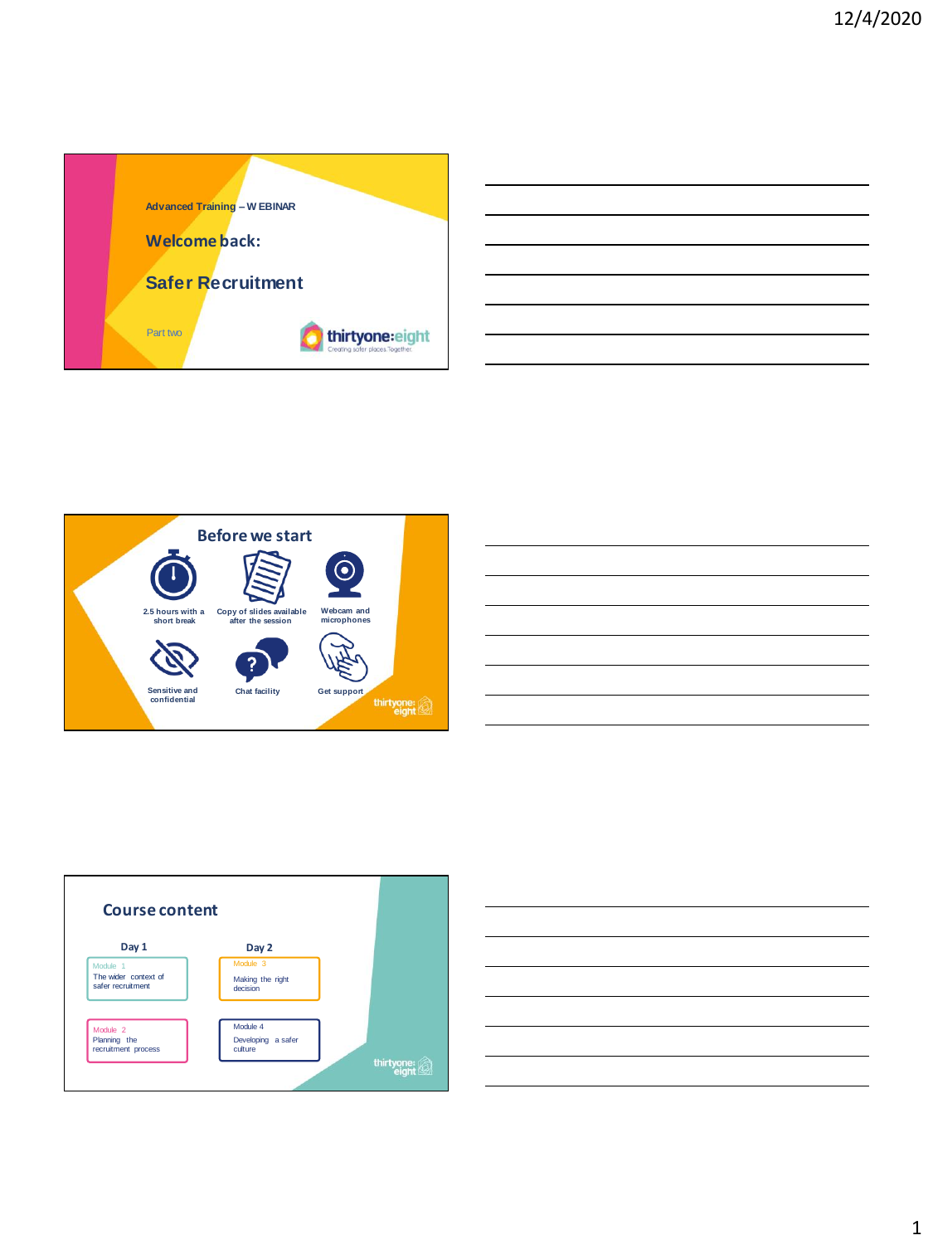







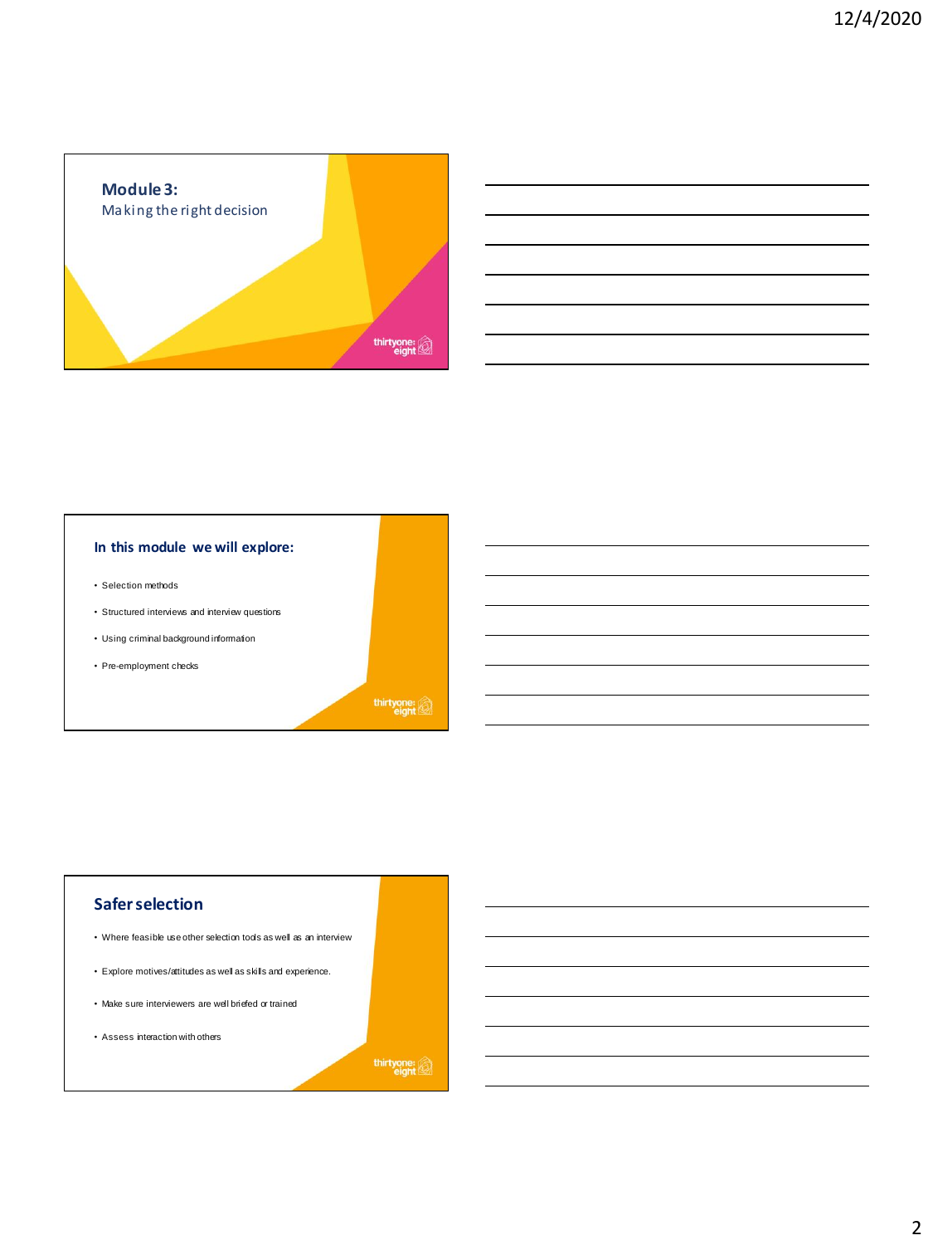

| <u> 1989 - Johann Stoff, deutscher Stoffen und der Stoffen und der Stoffen und der Stoffen und der Stoffen und de</u> |  |  |
|-----------------------------------------------------------------------------------------------------------------------|--|--|
| <u> 1989 - Johann Stoff, deutscher Stoffen und der Stoffen und der Stoffen und der Stoffen und der Stoffen und de</u> |  |  |
|                                                                                                                       |  |  |
| <u> 1989 - Andrea Andrew Maria (h. 1989).</u>                                                                         |  |  |
| <u> 1989 - Johann Stoff, deutscher Stoffen und der Stoffen und der Stoffen und der Stoffen und der Stoffen und de</u> |  |  |
| <u> 1989 - Andrea Santa Andrea Andrea Andrea Andrea Andrea Andrea Andrea Andrea Andrea Andrea Andrea Andrea Andr</u>  |  |  |
|                                                                                                                       |  |  |

# **In this module we will explore:**

- Selection methods
- Structured interviews and interview questions
- Using criminal background information
- Pre-employment checks

thirtyone:

# **Safer selection**

- Where feasible use other selection tools as well as an interview
- Explore motives/attitudes as well as skills and experience.
- Make sure interviewers are well briefed or trained
- Assess interaction with others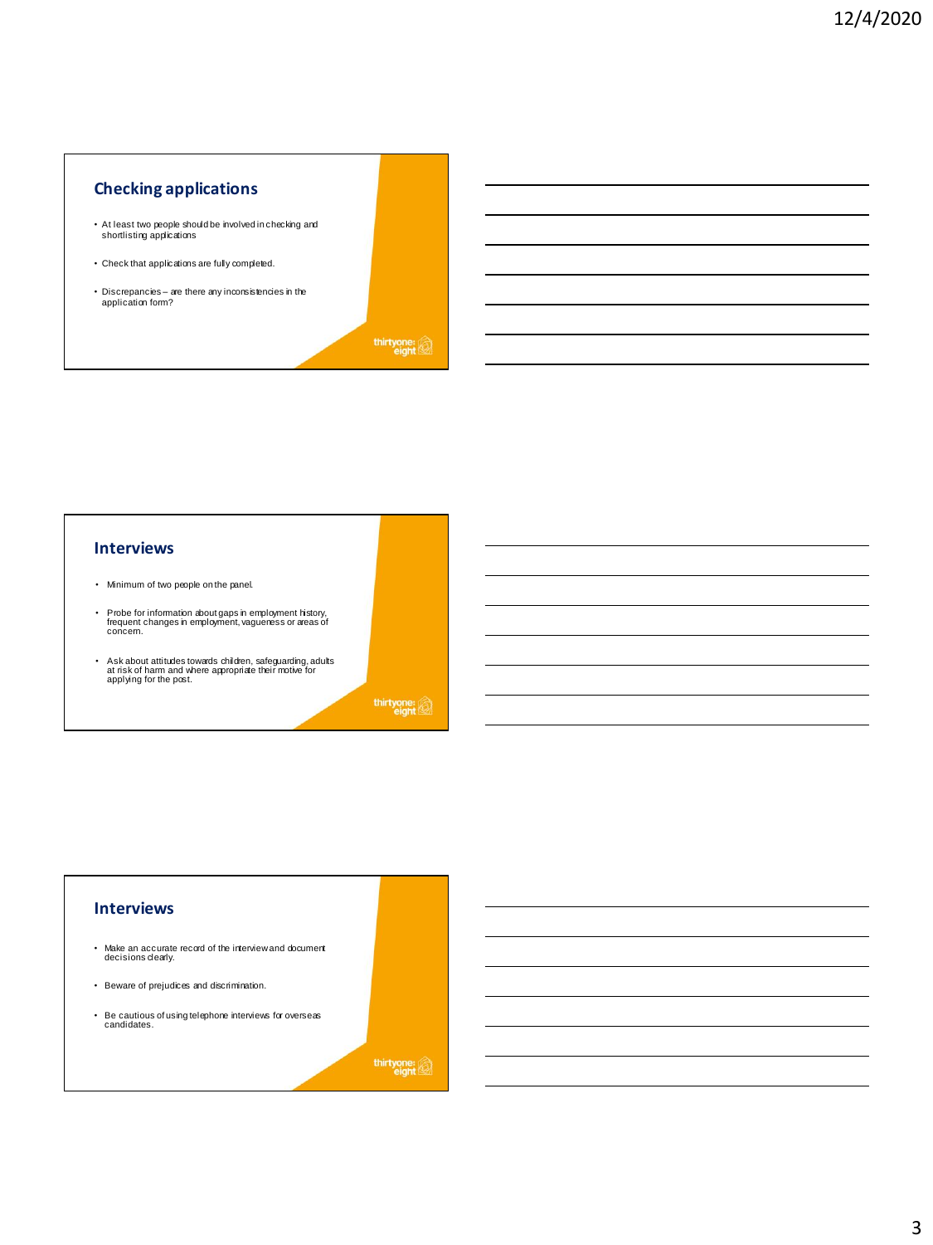# **Checking applications**

- At least two people should be involved in checking and shortlisting applications
- Check that applications are fully completed.
- Discrepancies are there any inconsistencies in the application form?

thirtyone:

# **Interviews**

- Minimum of two people on the panel.
- Probe for information about gaps in employment history, frequent changes in employment, vagueness or areas of concern.
- Ask about attitudes towards children, safeguarding, adults at risk of harm and where appropriate their motive for applying for the post.

thirtyone:

# **Interviews** • Make an accurate record of the interview and document decisions clearly. • Beware of prejudices and discrimination. • Be cautious of using telephone interviews for overseas candidates.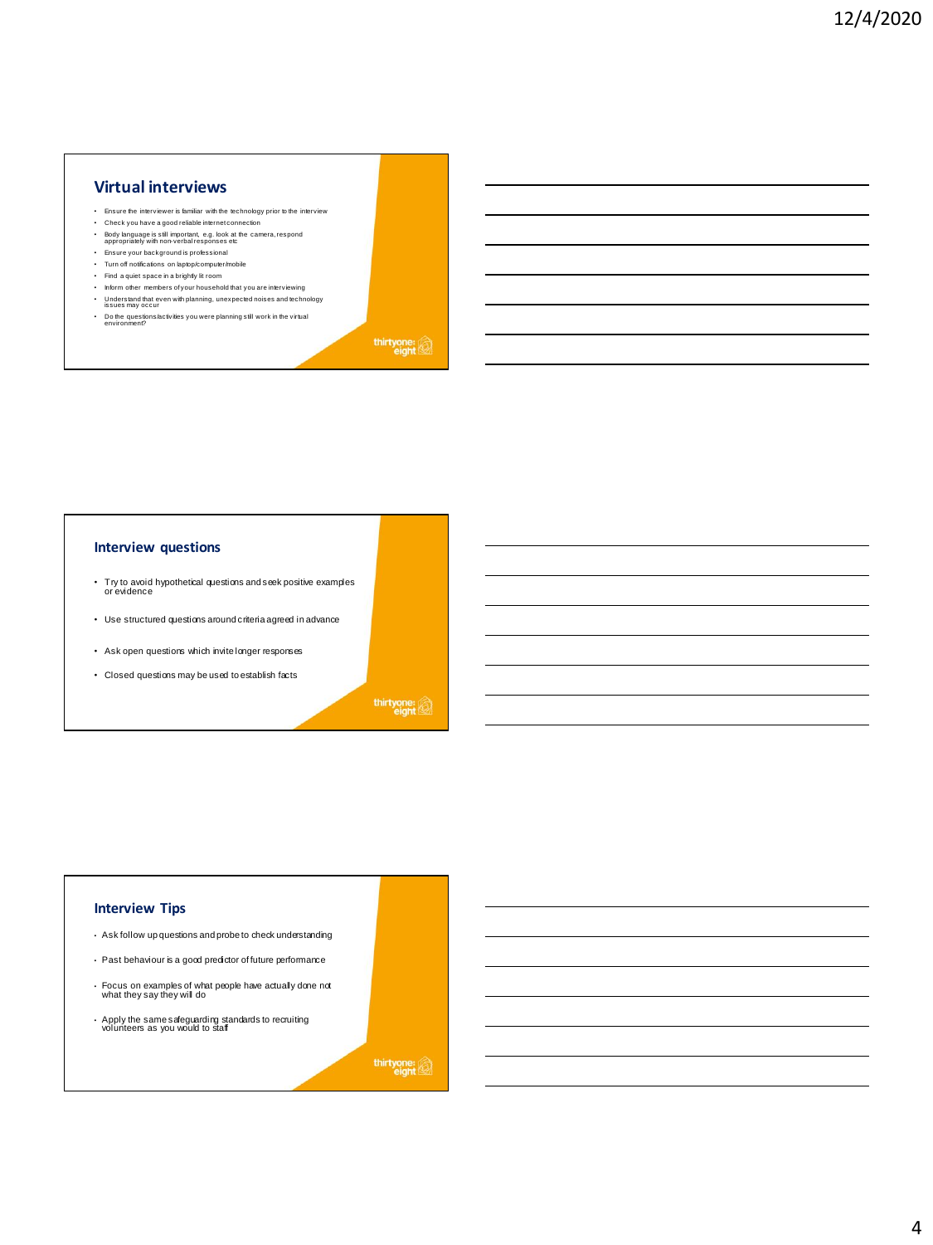# **Virtual interviews**

- Ensure the interviewer is familiar with the technology prior to the interview • Check you have a good reliable internet connection
- Body language is still important, e.g. look at the camera, respond appropriately with non-verbal responses etc
- Ensure your background is professional
- Turn off notifications on laptop/computer/mobile
- Find a quiet space in a brightly lit room
- Inform other members of your household that you are interviewing
- Understand that even with planning, unexpected noises and technology issues may occur
- Do the questions/activities you were planning still work in the virtual environment?

thirtyone:

#### **Interview questions**

- Try to avoid hypothetical questions and seek positive examples or evidence
- Use structured questions around criteria agreed in advance
- Ask open questions which invite longer responses
- Closed questions may be used to establish facts

thirtyone:

#### **Interview Tips**

- Ask follow up questions and probe to check understanding
- Past behaviour is a good predictor of future performance
- Focus on examples of what people have actually done not what they say they will do
- Apply the same safeguarding standards to recruiting volunteers as you would to staff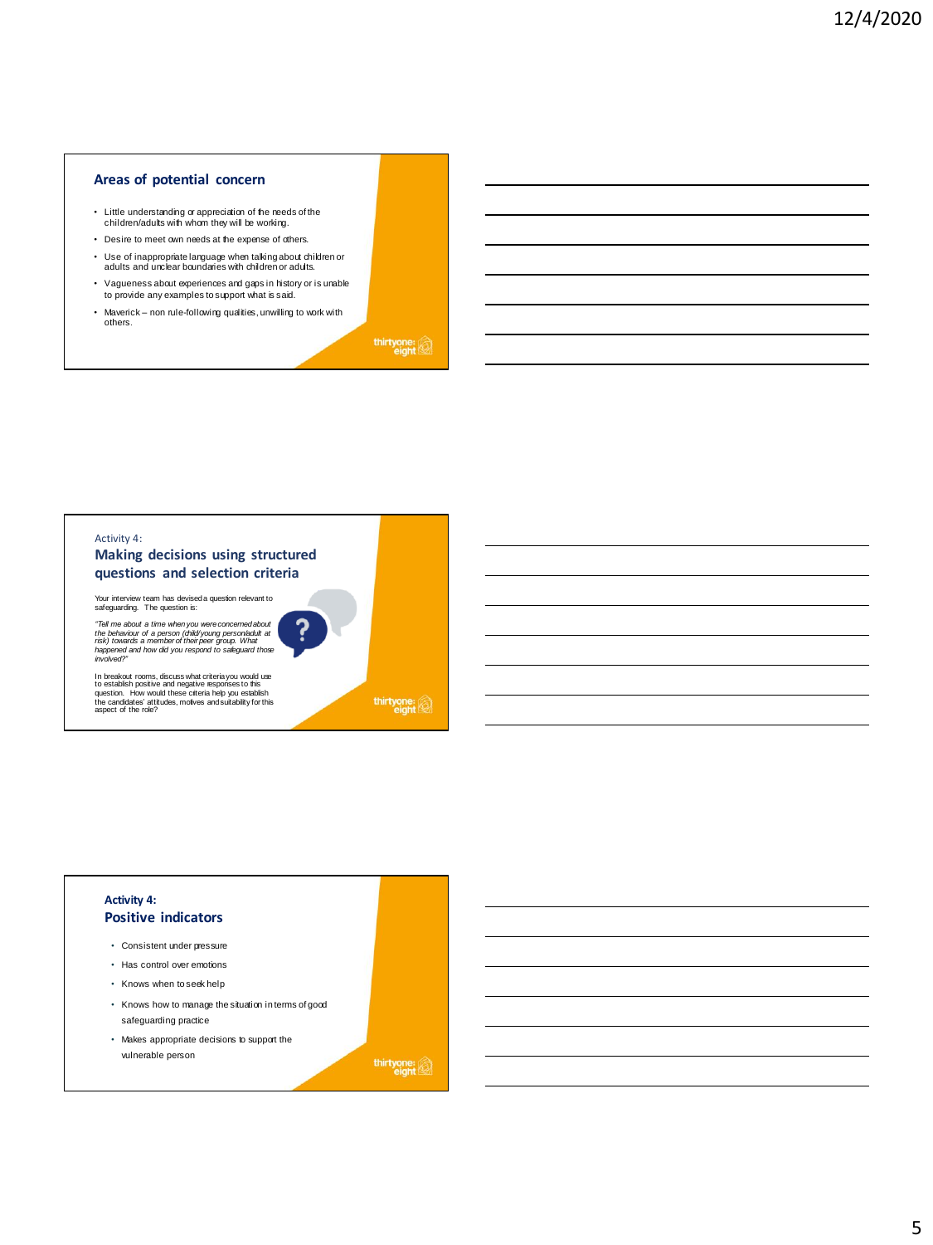### **Areas of potential concern**

- Little understanding or appreciation of the needs of the children/adults with whom they will be working.
- Desire to meet own needs at the expense of others.
- Use of inappropriate language when talking about children or adults and unclear boundaries with children or adults.
- Vagueness about experiences and gaps in history or is unable to provide any examples to support what is said.
- Maverick non rule-following qualities, unwilling to work with others.



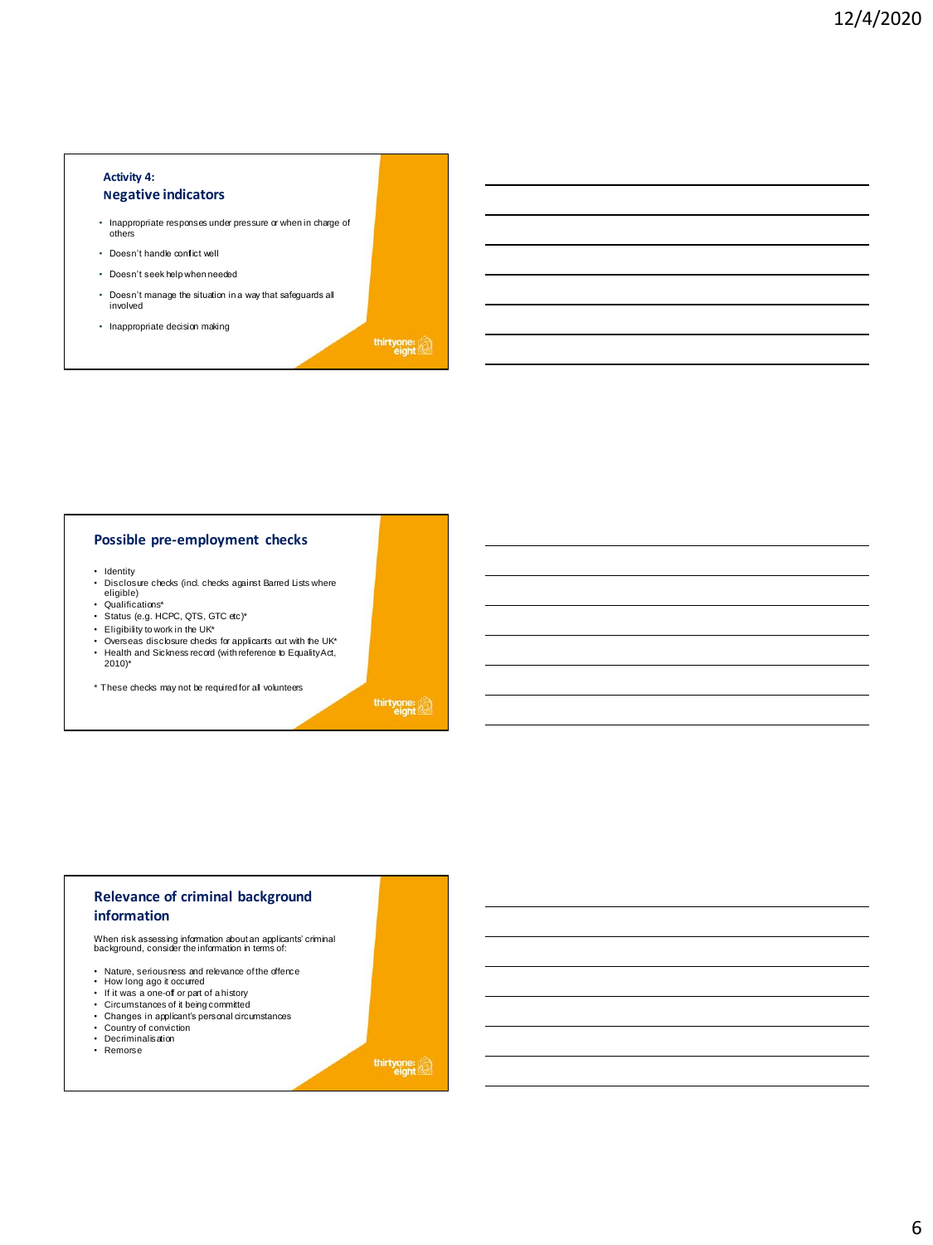#### **Activity 4: Negative indicators**

- Inappropriate responses under pressure or when in charge of others
- Doesn't handle conflict well
- Doesn't seek help when needed
- Doesn't manage the situation in a way that safeguards all involved
- Inappropriate decision making

thirtyone:

#### **Possible pre-employment checks**

- Identity
- Disclosure checks (incl. checks against Barred Lists where eligible)
- 
- Qualifications\* • Status (e.g. HCPC, QTS, GTC etc)\*
- Eligibility to work in the UK\*
- 
- Overseas disclosure checks for applicants out with the UK\* Health and Sickness record (with reference to Equality Act, 2010)\*

\* These checks may not be required for all volunteers

thirtyone:

# **Relevance of criminal background information**

When risk assessing information about an applicants' criminal background, consider the information in terms of:

- Nature, seriousness and relevance of the offence How long ago it occurred If it was a one-off or part of a history
- 
- Circumstances of it being committed
- Changes in applicant's personal circumstances
- 
- Country of conviction Decriminalisation
- Remorse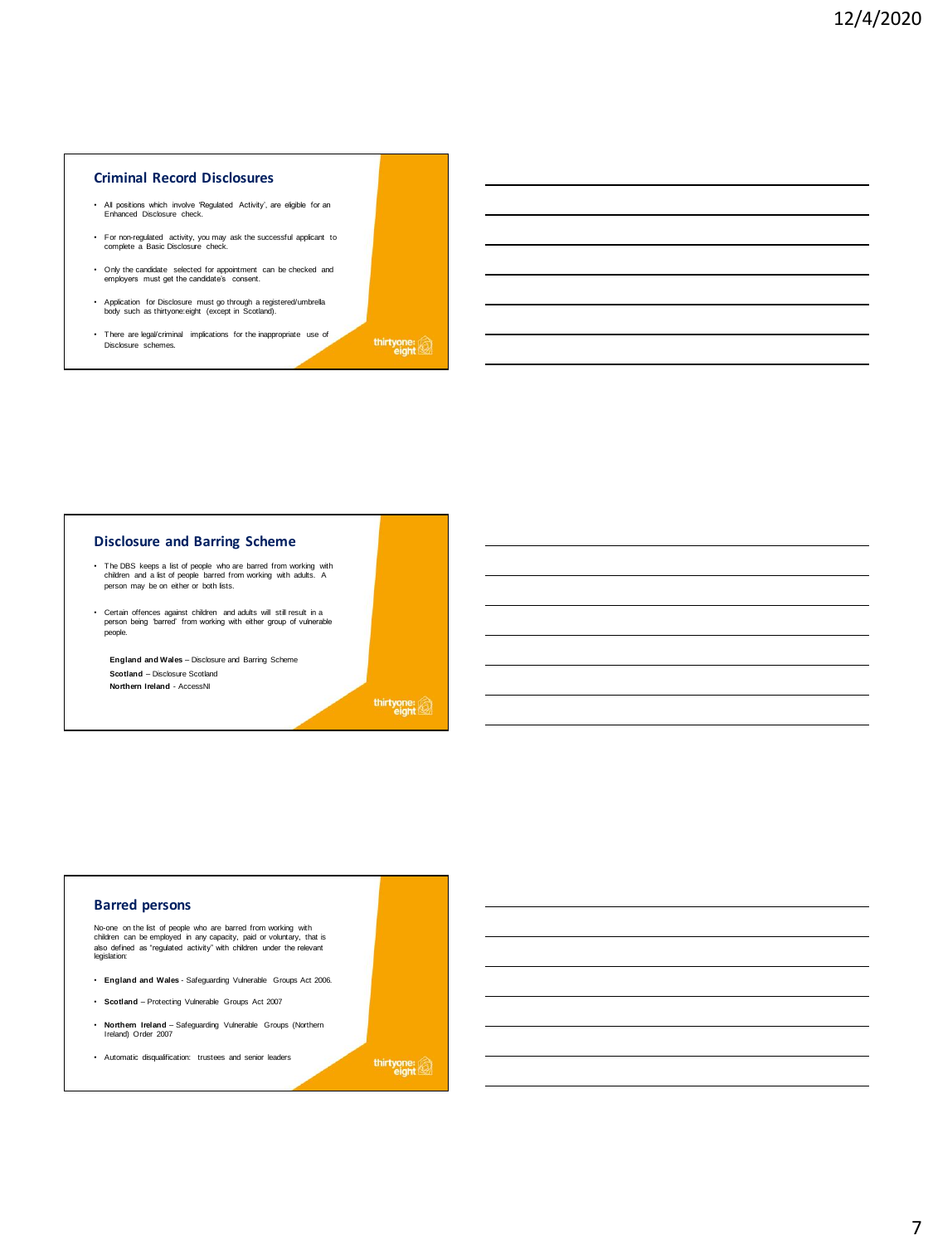#### **Criminal Record Disclosures**

- All positions which involve 'Regulated Activity', are eligible for an Enhanced Disclosure check.
- For non-regulated activity, you may ask the successful applicant to complete a Basic Disclosure check.
- Only the candidate selected for appointment can be checked and employers must get the candidate's consent.
- Application for Disclosure must go through a registered/umbrella body such as thirtyone:eight (except in Scotland).
- There are legal/criminal implications for the inappropriate use of Disclosure schemes.

thirtyone:

#### **Disclosure and Barring Scheme**

- The DBS keeps a list of people who are barred from working with children and a list of people barred from working with adults. A person may be on either or both lists.
- Certain offences against children and adults will still result in a person being 'barred' from working with either group of vulnerable people.

**England and Wales** – Disclosure and Barring Scheme **Scotland** – Disclosure Scotland **Northern Ireland** - AccessNI

thirtyone:

# **Barred persons**

No-one on the list of people who are barred from working with children can be employed in any capacity, paid or voluntary, that is also defined as "regulated activity" with children under the relevant legislation:

- **England and Wales**  Safeguarding Vulnerable Groups Act 2006.
- **Scotland** Protecting Vulnerable Groups Act 2007
- **Northern Ireland**  Safeguarding Vulnerable Groups (Northern Ireland) Order 2007
- Automatic disqualification: trustees and senior leaders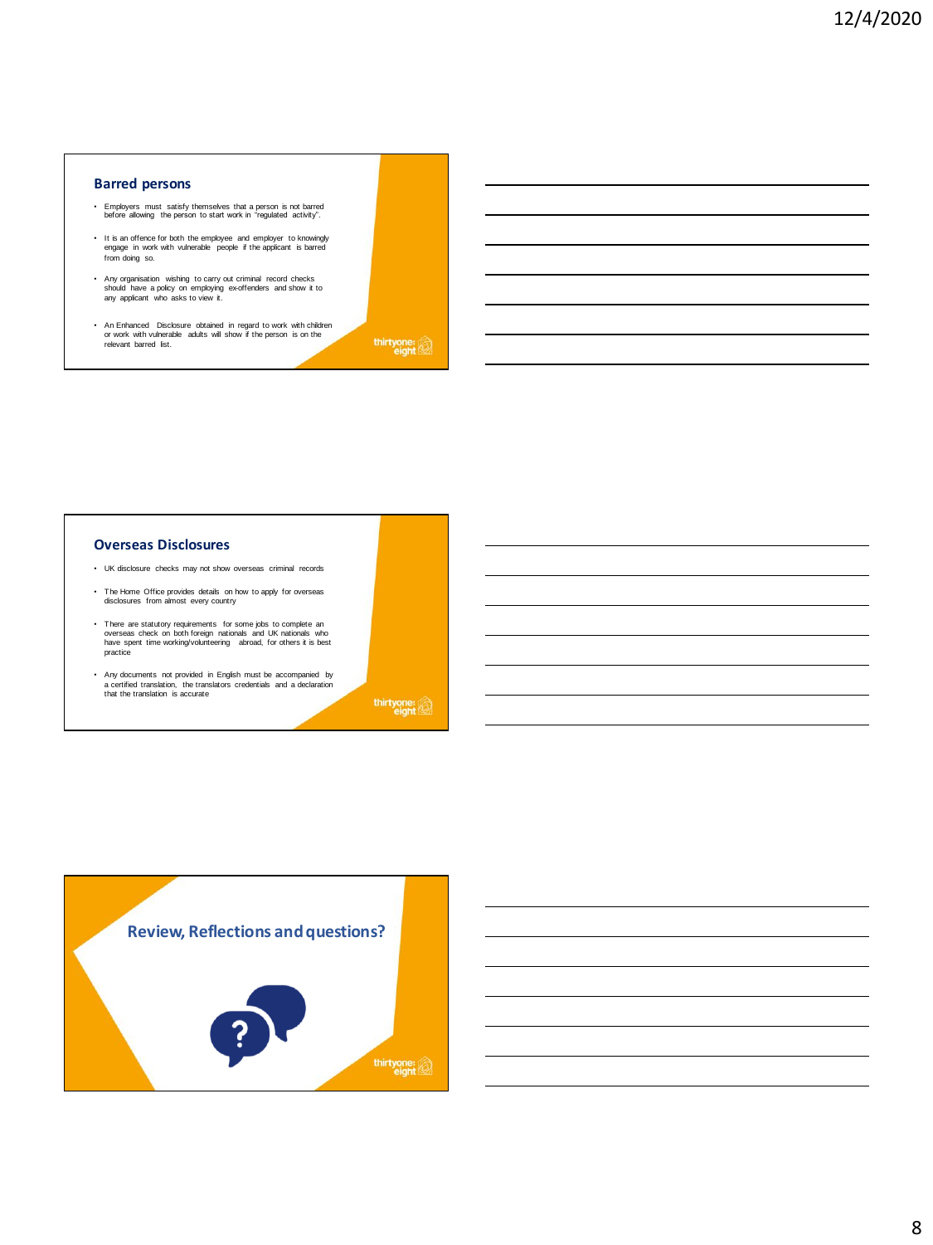#### **Barred persons**

- Employers must satisfy themselves that a person is not barred before allowing the person to start work in "regulated activity".
- It is an offence for both the employee and employer to knowingly engage in work with vulnerable people if the applicant is barred from doing so.
- Any organisation wishing to carry out criminal record checks should have a policy on employing ex-offenders and show it to any applicant who asks to view it.
- An Enhanced Disclosure obtained in regard to work with children or work with vulnerable adults will show if the person is on the relevant barred list.

thirtyone:

#### **Overseas Disclosures**

- UK disclosure checks may not show overseas criminal records
- The Home Office provides details on how to apply for overseas disclosures from almost every country
- There are statutory requirements for some jobs to complete an overseas check on both foreign nationals and UK nationals who have spent time working/volunteering abroad, for others it is best practice
- Any documents not provided in English must be accompanied by a certified translation, the translators credentials and a declaration that the translation is accurate



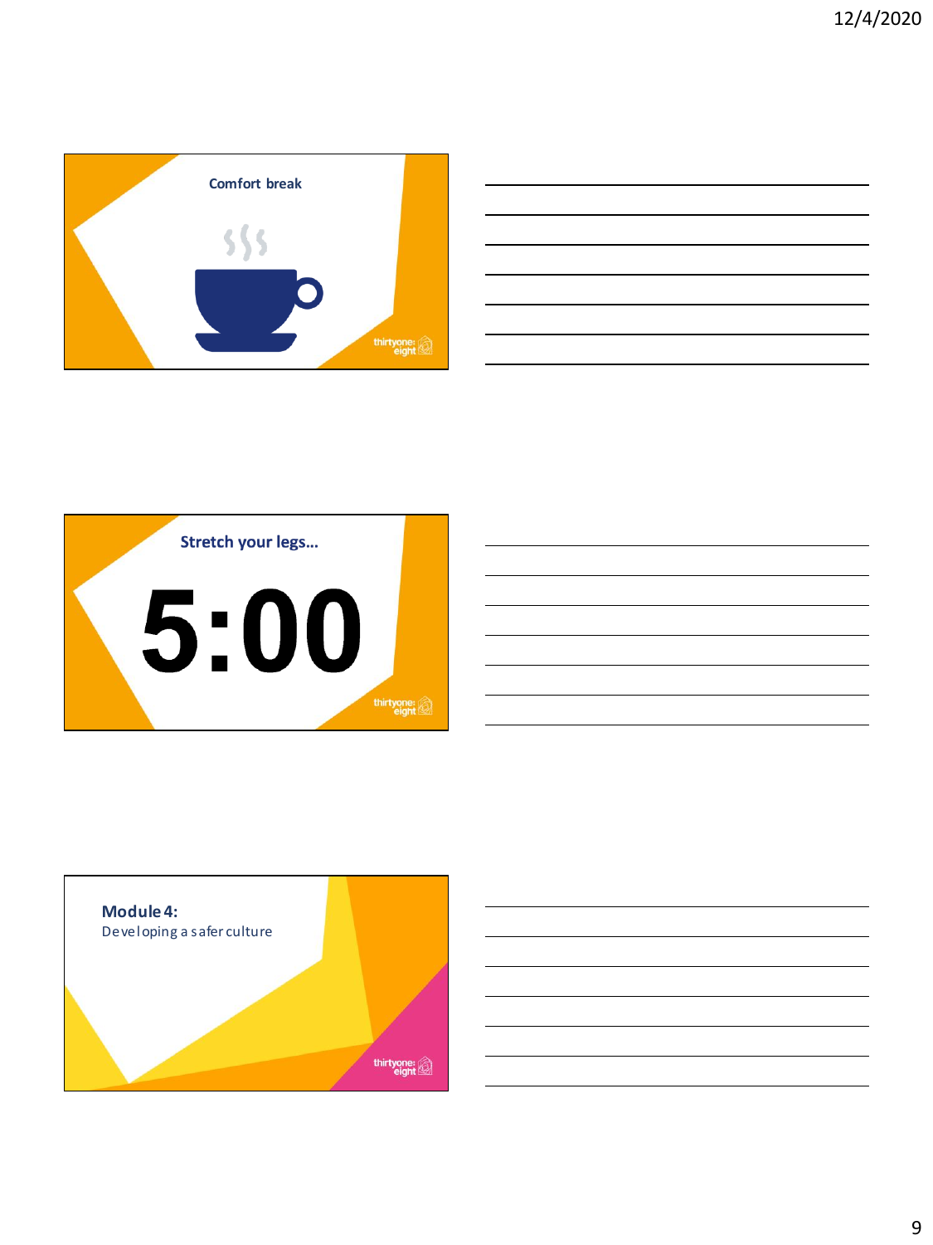



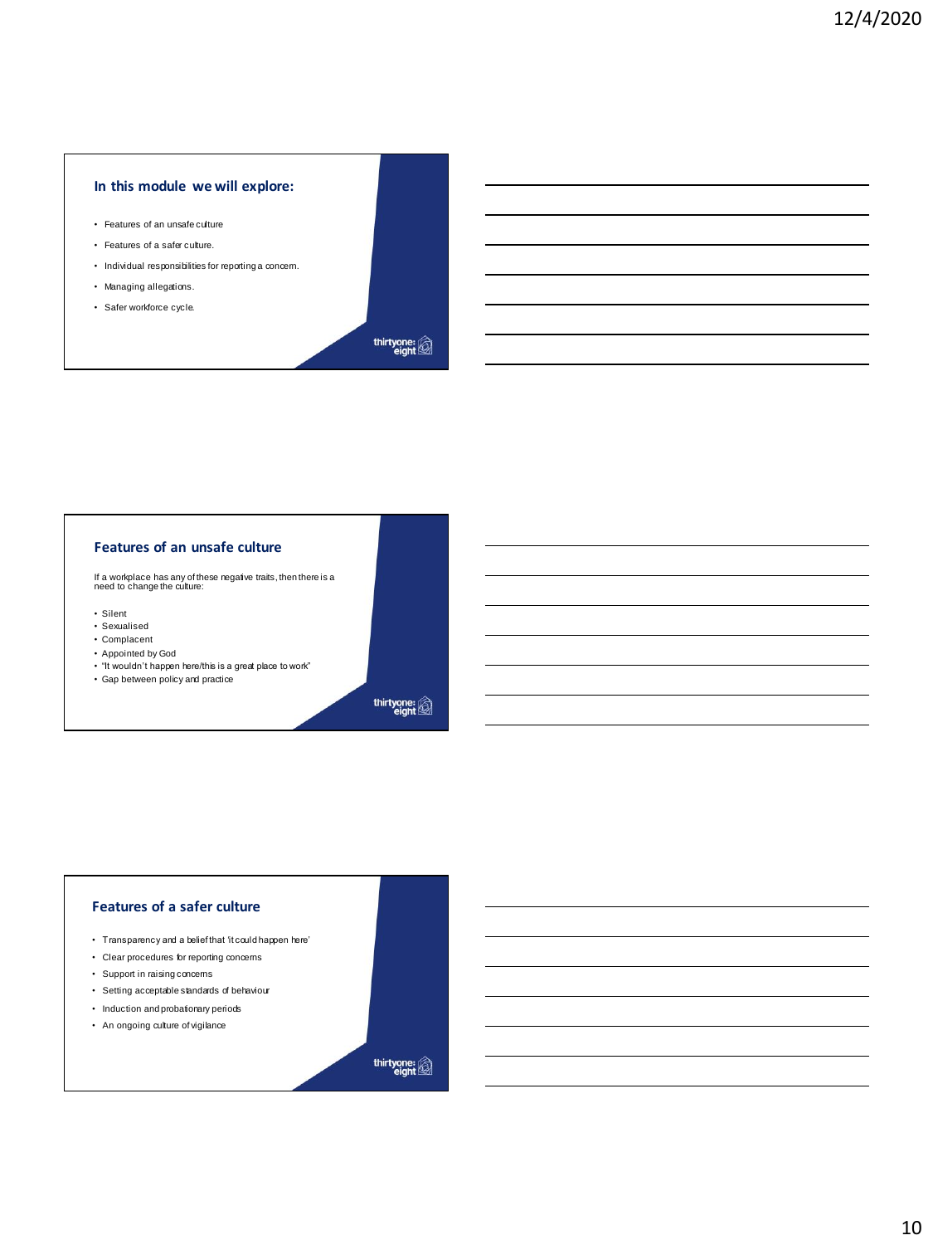# **In this module we will explore:**

- Features of an unsafe culture
- Features of a safer culture.
- Individual responsibilities for reporting a concern.
- Managing allegations.
- Safer workforce cycle.



#### **Features of an unsafe culture**

If a workplace has any of these negative traits, then there is a need to change the culture:

- Silent
- Sexualised
- Complacent • Appointed by God
- 
- "It wouldn't happen here/this is a great place to work" Gap between policy and practice
- 

thirtyone: @

# **Features of a safer culture**

- Transparency and a belief that 'it could happen here'
- Clear procedures for reporting concerns
- Support in raising concerns
- Setting acceptable standards of behaviour
- Induction and probationary periods
- An ongoing culture of vigilance

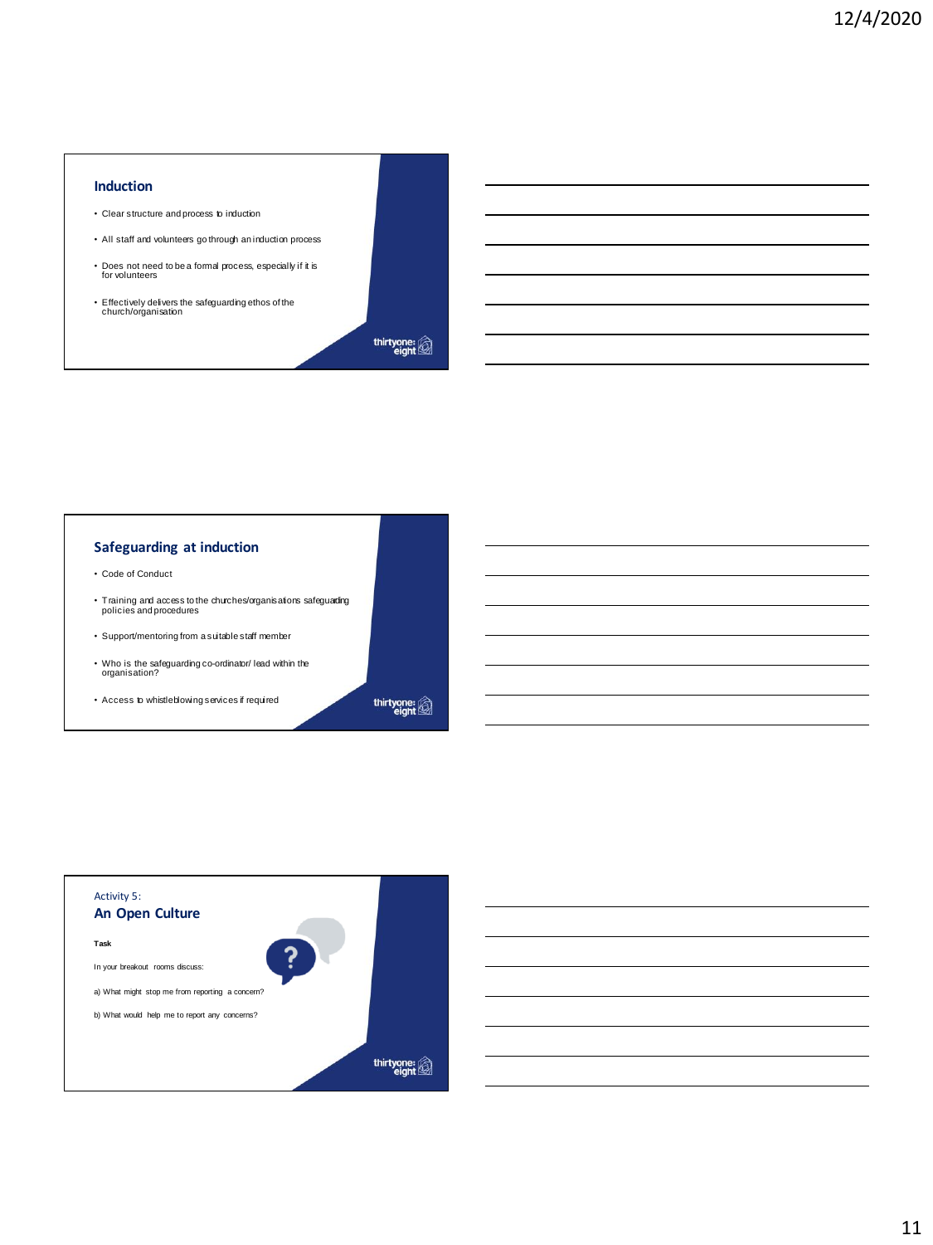#### **Induction**

- Clear structure and process to induction
- All staff and volunteers go through an induction process
- Does not need to be a formal process, especially if it is for volunteers
- Effectively delivers the safeguarding ethos of the church/organisation

thirtyone:<br>eight

# **Safeguarding at induction**

- Code of Conduct
- Training and access to the churches/organisations safeguarding policies and procedures
- Support/mentoring from a suitable staff member
- Who is the safeguarding co-ordinator/ lead within the organisation?
- Access to whistleblowing services if required

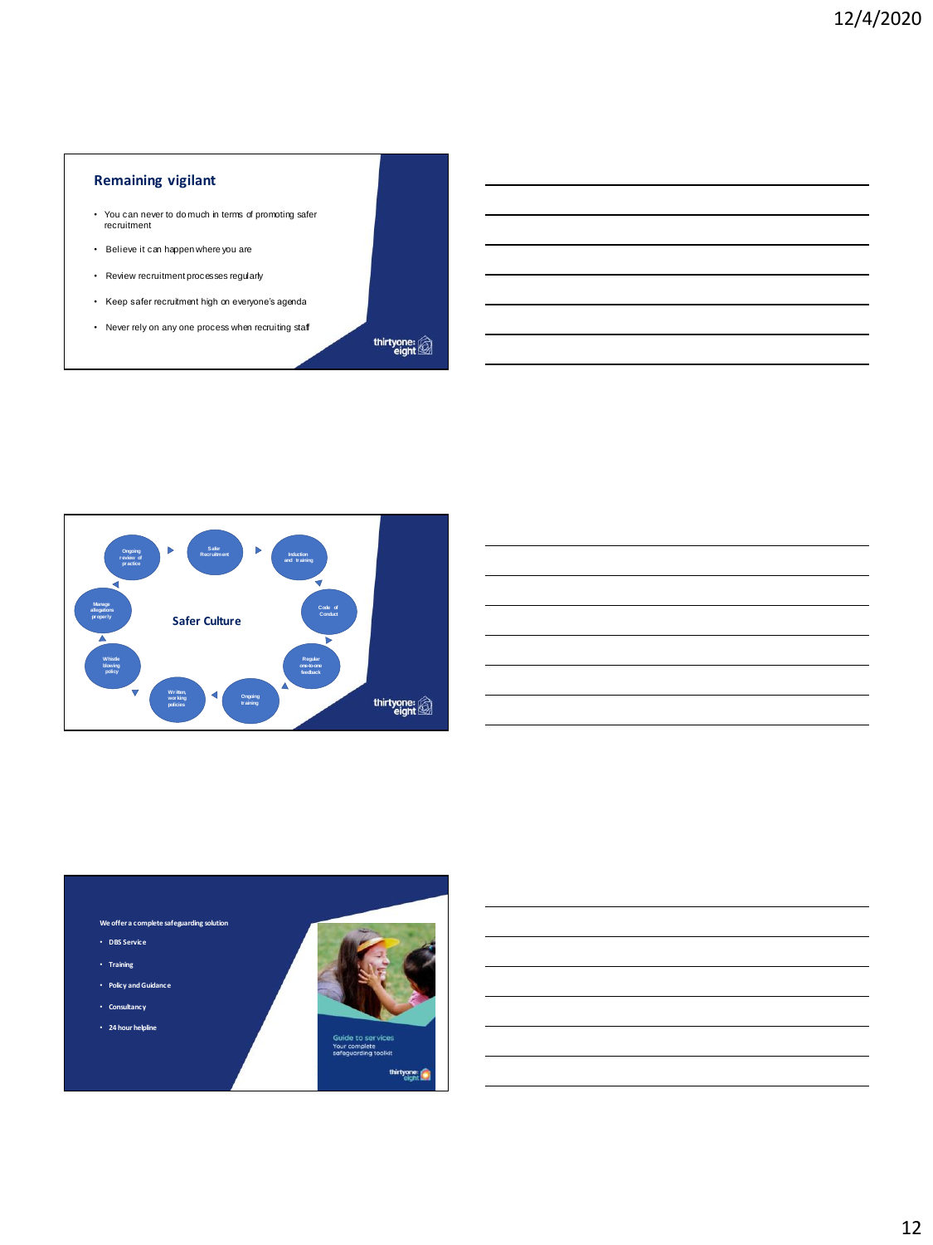# **Remaining vigilant**

- You can never to do much in terms of promoting safer recruitment
- Believe it can happen where you are
- Review recruitment processes regularly
- Keep safer recruitment high on everyone's agenda
- Never rely on any one process when recruiting staff



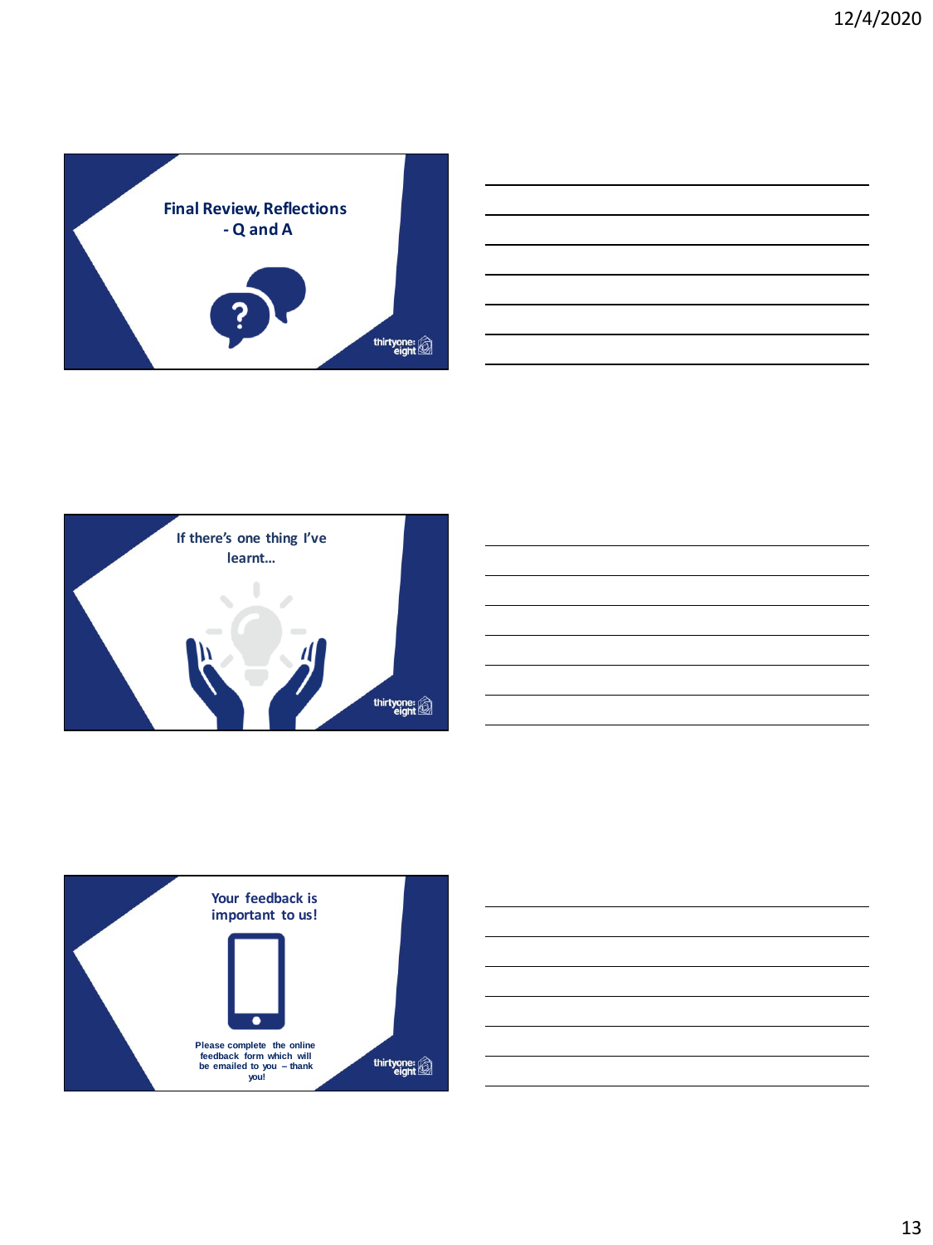